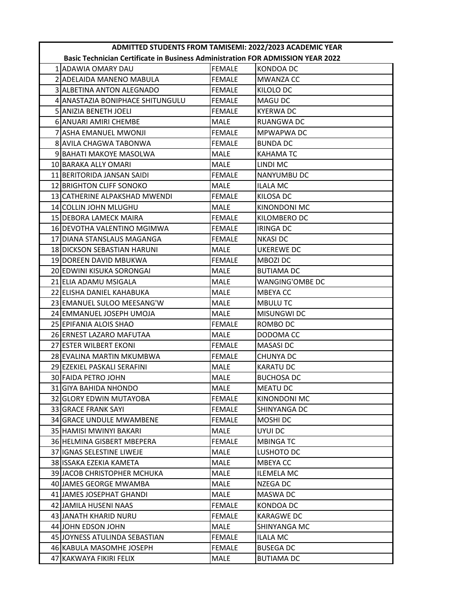| ADMITTED STUDENTS FROM TAMISEMI: 2022/2023 ACADEMIC YEAR |                                                                                        |               |                   |
|----------------------------------------------------------|----------------------------------------------------------------------------------------|---------------|-------------------|
|                                                          | <b>Basic Technician Certificate in Business Administration FOR ADMISSION YEAR 2022</b> |               |                   |
|                                                          | 1IADAWIA OMARY DAU                                                                     | <b>FEMALE</b> | KONDOA DC         |
|                                                          | 2 ADELAIDA MANENO MABULA                                                               | <b>FEMALE</b> | <b>MWANZA CC</b>  |
|                                                          | 3 ALBETINA ANTON ALEGNADO                                                              | <b>FEMALE</b> | KILOLO DC         |
|                                                          | 4 ANASTAZIA BONIPHACE SHITUNGULU                                                       | <b>FEMALE</b> | MAGU DC           |
|                                                          | 5 ANIZIA BENETH JOELI                                                                  | <b>FEMALE</b> | <b>KYERWA DC</b>  |
|                                                          | 6 ANUARI AMIRI CHEMBE                                                                  | MALE          | RUANGWA DC        |
|                                                          | 7 ASHA EMANUEL MWONJI                                                                  | <b>FEMALE</b> | MPWAPWA DC        |
|                                                          | 8 AVILA CHAGWA TABONWA                                                                 | <b>FEMALE</b> | <b>BUNDA DC</b>   |
|                                                          | 9 BAHATI MAKOYE MASOLWA                                                                | MALE          | <b>KAHAMATC</b>   |
|                                                          | 10 BARAKA ALLY OMARI                                                                   | MALE          | LINDI MC          |
|                                                          | 11 BERITORIDA JANSAN SAIDI                                                             | <b>FEMALE</b> | NANYUMBU DC       |
|                                                          | 12 BRIGHTON CLIFF SONOKO                                                               | <b>MALE</b>   | <b>ILALA MC</b>   |
|                                                          | 13 CATHERINE ALPAKSHAD MWENDI                                                          | <b>FEMALE</b> | KILOSA DC         |
|                                                          | 14 COLLIN JOHN MLUGHU                                                                  | <b>MALE</b>   | KINONDONI MC      |
|                                                          | 15 DEBORA LAMECK MAIRA                                                                 | <b>FEMALE</b> | KILOMBERO DC      |
|                                                          | 16 DEVOTHA VALENTINO MGIMWA                                                            | <b>FEMALE</b> | <b>IRINGA DC</b>  |
|                                                          | 17 DIANA STANSLAUS MAGANGA                                                             | <b>FEMALE</b> | <b>NKASI DC</b>   |
|                                                          | 18 DICKSON SEBASTIAN HARUNI                                                            | MALE          | UKEREWE DC        |
|                                                          | 19 DOREEN DAVID MBUKWA                                                                 | <b>FEMALE</b> | <b>MBOZI DC</b>   |
|                                                          | 20 EDWINI KISUKA SORONGAI                                                              | <b>MALE</b>   | <b>BUTIAMA DC</b> |
|                                                          | 21IELIA ADAMU MSIGALA                                                                  | <b>MALE</b>   | WANGING'OMBE DC   |
|                                                          | 22 ELISHA DANIEL KAHABUKA                                                              | <b>MALE</b>   | <b>MBEYACC</b>    |
|                                                          | 23 EMANUEL SULOO MEESANG'W                                                             | MALE          | <b>MBULUTC</b>    |
|                                                          | 24 EMMANUEL JOSEPH UMOJA                                                               | <b>MALE</b>   | MISUNGWI DC       |
|                                                          | 25 EPIFANIA ALOIS SHAO                                                                 | <b>FEMALE</b> | ROMBO DC          |
|                                                          | 26 ERNEST LAZARO MAFUTAA                                                               | MALE          | DODOMA CC         |
|                                                          | 27 ESTER WILBERT EKONI                                                                 | <b>FEMALE</b> | <b>MASASIDC</b>   |
|                                                          | 28 EVALINA MARTIN MKUMBWA                                                              | <b>FEMALE</b> | CHUNYA DC         |
|                                                          | 29 EZEKIEL PASKALI SERAFINI                                                            | <b>MALE</b>   | <b>KARATU DC</b>  |
|                                                          | 30 FAIDA PETRO JOHN                                                                    | MALE          | <b>BUCHOSA DC</b> |
|                                                          | 31 GIYA BAHIDA NHONDO                                                                  | MALE          | <b>MEATU DC</b>   |
|                                                          | 32 GLORY EDWIN MUTAYOBA                                                                | <b>FEMALE</b> | KINONDONI MC      |
|                                                          | 33 GRACE FRANK SAYI                                                                    | <b>FEMALE</b> | SHINYANGA DC      |
|                                                          | 34 GRACE UNDULE MWAMBENE                                                               | <b>FEMALE</b> | MOSHI DC          |
|                                                          | 35 HAMISI MWINYI BAKARI                                                                | MALE          | UYUI DC           |
|                                                          | 36 HELMINA GISBERT MBEPERA                                                             | <b>FEMALE</b> | <b>MBINGATC</b>   |
|                                                          | 37 IGNAS SELESTINE LIWEJE                                                              | MALE          | LUSHOTO DC        |
|                                                          | 38 ISSAKA EZEKIA KAMETA                                                                | MALE          | <b>MBEYACC</b>    |
|                                                          | 39 JACOB CHRISTOPHER MCHUKA                                                            | MALE          | <b>ILEMELA MC</b> |
|                                                          | 40 JAMES GEORGE MWAMBA                                                                 | MALE          | NZEGA DC          |
|                                                          | 41 JAMES JOSEPHAT GHANDI                                                               | MALE          | MASWA DC          |
|                                                          | 42 JAMILA HUSENI NAAS                                                                  | <b>FEMALE</b> | KONDOA DC         |
|                                                          | 43 JANATH KHARID NURU                                                                  | <b>FEMALE</b> | <b>KARAGWE DC</b> |
|                                                          | 44 JOHN EDSON JOHN                                                                     | MALE          | SHINYANGA MC      |
|                                                          | 45 JOYNESS ATULINDA SEBASTIAN                                                          | <b>FEMALE</b> | ILALA MC          |
|                                                          | 46 KABULA MASOMHE JOSEPH                                                               | <b>FEMALE</b> | <b>BUSEGA DC</b>  |
|                                                          | 47 KAKWAYA FIKIRI FELIX                                                                | <b>MALE</b>   | <b>BUTIAMA DC</b> |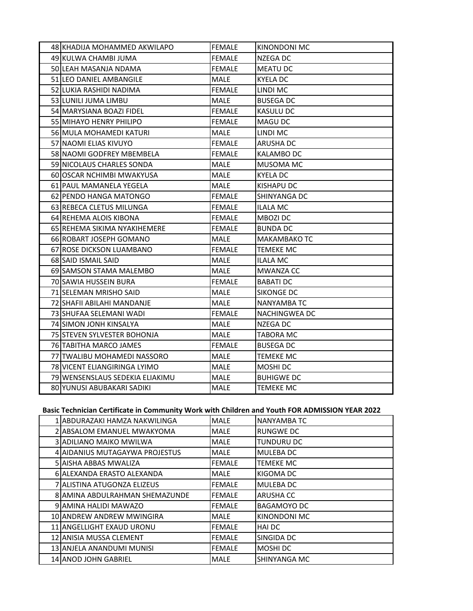| 48 KHADIJA MOHAMMED AKWILAPO    | <b>FEMALE</b> | <b>KINONDONI MC</b> |
|---------------------------------|---------------|---------------------|
| 49 KULWA CHAMBI JUMA            | <b>FEMALE</b> | NZEGA DC            |
| 50 LEAH MASANJA NDAMA           | <b>FEMALE</b> | MEATU DC            |
| 51 LEO DANIEL AMBANGILE         | MALE          | <b>KYELA DC</b>     |
| 52 LUKIA RASHIDI NADIMA         | <b>FEMALE</b> | LINDI MC            |
| 53 LUNILI JUMA LIMBU            | <b>MALE</b>   | <b>BUSEGA DC</b>    |
| 54 MARYSIANA BOAZI FIDEL        | <b>FEMALE</b> | KASULU DC           |
| 55 MIHAYO HENRY PHILIPO         | <b>FEMALE</b> | MAGU DC             |
| 56 MULA MOHAMEDI KATURI         | MALE          | LINDI MC            |
| 57 NAOMI ELIAS KIVUYO           | <b>FEMALE</b> | ARUSHA DC           |
| 58 NAOMI GODFREY MBEMBELA       | <b>FEMALE</b> | <b>KALAMBO DC</b>   |
| 59 NICOLAUS CHARLES SONDA       | <b>MALE</b>   | MUSOMA MC           |
| 60IOSCAR NCHIMBI MWAKYUSA       | MALE          | <b>KYELA DC</b>     |
| 61 PAUL MAMANELA YEGELA         | <b>MALE</b>   | <b>KISHAPU DC</b>   |
| 62 PENDO HANGA MATONGO          | <b>FEMALE</b> | SHINYANGA DC        |
| 63 REBECA CLETUS MILUNGA        | <b>FEMALE</b> | <b>ILALA MC</b>     |
| 64 REHEMA ALOIS KIBONA          | FEMALE        | MBOZI DC            |
| 65 REHEMA SIKIMA NYAKIHEMERE    | <b>FEMALE</b> | <b>BUNDA DC</b>     |
| 66 ROBART JOSEPH GOMANO         | MALE          | MAKAMBAKO TC        |
| 67 ROSE DICKSON LUAMBANO        | <b>FEMALE</b> | TEMEKE MC           |
| 68 SAID ISMAIL SAID             | MALE          | ILALA MC            |
| 69 SAMSON STAMA MALEMBO         | MALE          | <b>MWANZA CC</b>    |
| 70 SAWIA HUSSEIN BURA           | <b>FEMALE</b> | <b>BABATI DC</b>    |
| 71 SELEMAN MRISHO SAID          | <b>MALE</b>   | <b>SIKONGE DC</b>   |
| 72 SHAFII ABILAHI MANDANJE      | MALE          | NANYAMBA TC         |
| 73 SHUFAA SELEMANI WADI         | <b>FEMALE</b> | NACHINGWEA DC       |
| 74 SIMON JONH KINSALYA          | MALE          | NZEGA DC            |
| 75 STEVEN SYLVESTER BOHONJA     | MALE          | <b>TABORA MC</b>    |
| 76 TABITHA MARCO JAMES          | <b>FEMALE</b> | <b>BUSEGA DC</b>    |
| 77 TWALIBU MOHAMEDI NASSORO     | MALE          | <b>TEMEKE MC</b>    |
| 78 VICENT ELIANGIRINGA LYIMO    | MALE          | MOSHI DC            |
| 79 WENSENSLAUS SEDEKIA ELIAKIMU | <b>MALE</b>   | <b>BUHIGWE DC</b>   |
| 80 YUNUSI ABUBAKARI SADIKI      | MALE          | TEMEKE MC           |

## **Basic Technician Certificate in Community Work with Children and Youth FOR ADMISSION YEAR 2022**

| 1 JABDURAZAKI HAMZA NAKWILINGA | <b>MALE</b>   | <b>NANYAMBA TC</b> |
|--------------------------------|---------------|--------------------|
| 2 ABSALOM EMANUEL MWAKYOMA     | <b>MALE</b>   | <b>RUNGWE DC</b>   |
| <b>3 ADILIANO MAIKO MWILWA</b> | <b>MALE</b>   | <b>TUNDURU DC</b>  |
| 4 AIDANIUS MUTAGAYWA PROJESTUS | <b>MALE</b>   | <b>MULEBADC</b>    |
| 5 AISHA ABBAS MWALIZA          | <b>FEMALE</b> | <b>TEMEKE MC</b>   |
| 6 ALEXANDA ERASTO ALEXANDA     | <b>MALE</b>   | KIGOMA DC          |
| 7 ALISTINA ATUGONZA ELIZEUS    | <b>FEMALE</b> | MULEBA DC          |
| 8 AMINA ABDULRAHMAN SHEMAZUNDE | <b>FEMALE</b> | <b>ARUSHA CC</b>   |
| 9 AMINA HALIDI MAWAZO          | <b>FEMALE</b> | BAGAMOYO DC        |
| 10 ANDREW ANDREW MWINGIRA      | MALE          | KINONDONI MC       |
| 11 ANGELLIGHT EXAUD URONU      | <b>FEMALE</b> | <b>HAIDC</b>       |
| 12 ANISIA MUSSA CLEMENT        | <b>FEMALE</b> | SINGIDA DC         |
| 13 ANJELA ANANDUMI MUNISI      | <b>FEMALE</b> | <b>MOSHIDC</b>     |
| <b>14 ANOD JOHN GABRIEL</b>    | <b>MALE</b>   | ISHINYANGA MC      |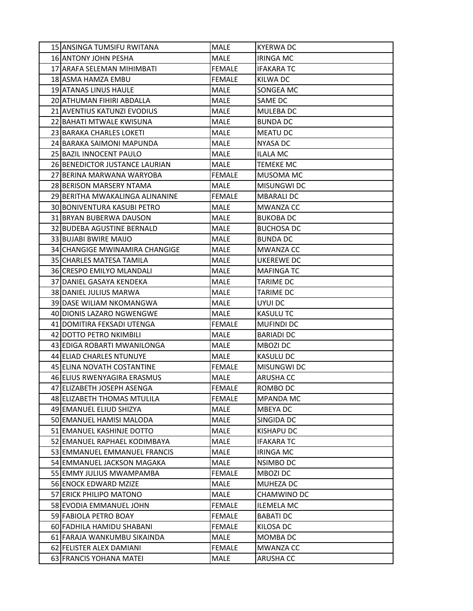| 15 ANSINGA TUMSIFU RWITANA      | <b>MALE</b>   | <b>KYERWA DC</b>  |
|---------------------------------|---------------|-------------------|
| <b>16 ANTONY JOHN PESHA</b>     | <b>MALE</b>   | <b>IRINGA MC</b>  |
| 17 ARAFA SELEMAN MIHIMBATI      | <b>FEMALE</b> | <b>IFAKARA TC</b> |
| 18 ASMA HAMZA EMBU              | <b>FEMALE</b> | KILWA DC          |
| 19 ATANAS LINUS HAULE           | <b>MALE</b>   | SONGEA MC         |
| 20 ATHUMAN FIHIRI ABDALLA       | MALE          | SAME DC           |
| 21 AVENTIUS KATUNZI EVODIUS     | MALE          | MULEBA DC         |
| 22 BAHATI MTWALE KWISUNA        | <b>MALE</b>   | <b>BUNDA DC</b>   |
| 23 BARAKA CHARLES LOKETI        | MALE          | <b>MEATU DC</b>   |
| 24 BARAKA SAIMONI MAPUNDA       | MALE          | <b>NYASA DC</b>   |
| 25 BAZIL INNOCENT PAULO         | MALE          | ILALA MC          |
| 26 BENEDICTOR JUSTANCE LAURIAN  | <b>MALE</b>   | <b>TEMEKE MC</b>  |
| 27 BERINA MARWANA WARYOBA       | <b>FEMALE</b> | MUSOMA MC         |
| 28 BERISON MARSERY NTAMA        | MALE          | MISUNGWI DC       |
| 29 BERITHA MWAKALINGA ALINANINE | <b>FEMALE</b> | <b>MBARALI DC</b> |
| 30 BONIVENTURA KASUBI PETRO     | MALE          | <b>MWANZA CC</b>  |
| 31 BRYAN BUBERWA DAUSON         | MALE          | <b>BUKOBA DC</b>  |
| 32 BUDEBA AGUSTINE BERNALD      | <b>MALE</b>   | <b>BUCHOSA DC</b> |
| 33 BUJABI BWIRE MAIJO           | <b>MALE</b>   | <b>BUNDA DC</b>   |
| 34 CHANGIGE MWINAMIRA CHANGIGE  | MALE          | <b>MWANZA CC</b>  |
| 35 ICHARLES MATESA TAMILA       | MALE          | UKEREWE DC        |
| 36 CRESPO EMILYO MLANDALI       | <b>MALE</b>   | <b>MAFINGA TC</b> |
| 37 DANIEL GASAYA KENDEKA        | <b>MALE</b>   | <b>TARIME DC</b>  |
| 38 DANIEL JULIUS MARWA          | MALE          | <b>TARIME DC</b>  |
| 39 DASE WILIAM NKOMANGWA        | <b>MALE</b>   | UYUI DC           |
| 40 DIONIS LAZARO NGWENGWE       | <b>MALE</b>   | <b>KASULU TC</b>  |
| 41 DOMITIRA FEKSADI UTENGA      | <b>FEMALE</b> | <b>MUFINDI DC</b> |
| 42 DOTTO PETRO NKIMBILI         | MALE          | <b>BARIADI DC</b> |
| 43 EDIGA ROBARTI MWANILONGA     | MALE          | MBOZI DC          |
| 44 ELIAD CHARLES NTUNUYE        | MALE          | <b>KASULU DC</b>  |
| 45 ELINA NOVATH COSTANTINE      | <b>FEMALE</b> | MISUNGWI DC       |
| 46 ELIUS RWENYAGIRA ERASMUS     | <b>MALE</b>   | <b>ARUSHA CC</b>  |
| 47 ELIZABETH JOSEPH ASENGA      | <b>FEMALE</b> | ROMBO DC          |
| 48 ELIZABETH THOMAS MTULILA     | <b>FEMALE</b> | <b>MPANDA MC</b>  |
| 49 EMANUEL ELIUD SHIZYA         | MALE          | <b>MBEYA DC</b>   |
| 50 EMANUEL HAMISI MALODA        | MALE          | SINGIDA DC        |
| 51 EMANUEL KASHINJE DOTTO       | MALE          | KISHAPU DC        |
| 52 EMANUEL RAPHAEL KODIMBAYA    | MALE          | <b>IFAKARA TC</b> |
| 53 EMMANUEL EMMANUEL FRANCIS    | MALE          | <b>IRINGA MC</b>  |
| 54 EMMANUEL JACKSON MAGAKA      | MALE          | <b>NSIMBO DC</b>  |
| 55 EMMY JULIUS MWAMPAMBA        | <b>FEMALE</b> | MBOZI DC          |
| 56 ENOCK EDWARD MZIZE           | MALE          | MUHEZA DC         |
| 57 ERICK PHILIPO MATONO         | MALE          | CHAMWINO DC       |
| 58 EVODIA EMMANUEL JOHN         | <b>FEMALE</b> | <b>ILEMELA MC</b> |
| 59 FABIOLA PETRO BOAY           | <b>FEMALE</b> | <b>BABATI DC</b>  |
| 60 FADHILA HAMIDU SHABANI       | <b>FEMALE</b> | KILOSA DC         |
| 61 FARAJA WANKUMBU SIKAINDA     | MALE          | MOMBA DC          |
| 62 FELISTER ALEX DAMIANI        | <b>FEMALE</b> | MWANZA CC         |
| 63 FRANCIS YOHANA MATEI         | MALE          | <b>ARUSHA CC</b>  |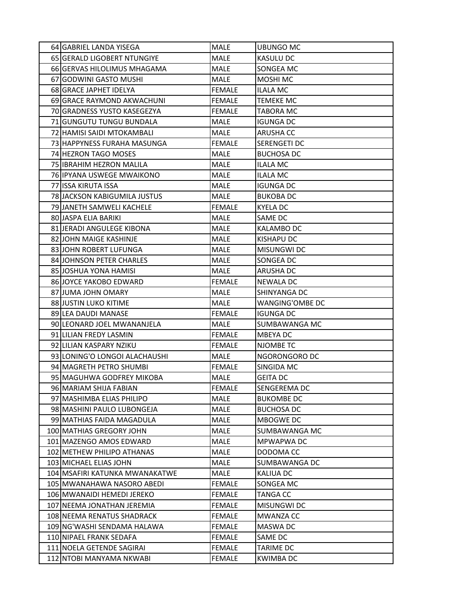| 64 GABRIEL LANDA YISEGA         | MALE          | UBUNGO MC            |
|---------------------------------|---------------|----------------------|
| 65 GERALD LIGOBERT NTUNGIYE     | <b>MALE</b>   | <b>KASULU DC</b>     |
| 66 GERVAS HILOLIMUS MHAGAMA     | MALE          | SONGEA MC            |
| 67 GODWINI GASTO MUSHI          | MALE          | <b>MOSHI MC</b>      |
| 68 GRACE JAPHET IDELYA          | <b>FEMALE</b> | <b>ILALA MC</b>      |
| 69 GRACE RAYMOND AKWACHUNI      | <b>FEMALE</b> | TEMEKE MC            |
| 70 GRADNESS YUSTO KASEGEZYA     | <b>FEMALE</b> | TABORA MC            |
| 71 GUNGUTU TUNGU BUNDALA        | <b>MALE</b>   | <b>IGUNGA DC</b>     |
| 72 HAMISI SAIDI MTOKAMBALI      | MALE          | <b>ARUSHA CC</b>     |
| 73 HAPPYNESS FURAHA MASUNGA     | <b>FEMALE</b> | <b>SERENGETI DC</b>  |
| 74 HEZRON TAGO MOSES            | MALE          | <b>BUCHOSA DC</b>    |
| 75 IBRAHIM HEZRON MALILA        | <b>MALE</b>   | <b>ILALA MC</b>      |
| 76 IPYANA USWEGE MWAIKONO       | <b>MALE</b>   | ILALA MC             |
| 77 ISSA KIRUTA ISSA             | <b>MALE</b>   | <b>IGUNGA DC</b>     |
| 78 JACKSON KABIGUMILA JUSTUS    | <b>MALE</b>   | <b>BUKOBA DC</b>     |
| 79 JANETH SAMWELI KACHELE       | <b>FEMALE</b> | <b>KYELA DC</b>      |
| 80 JASPA ELIA BARIKI            | <b>MALE</b>   | SAME DC              |
| 81 JERADI ANGULEGE KIBONA       | MALE          | <b>KALAMBO DC</b>    |
| 82 JOHN MAIGE KASHINJE          | <b>MALE</b>   | <b>KISHAPU DC</b>    |
| 83 JOHN ROBERT LUFUNGA          | <b>MALE</b>   | <b>MISUNGWI DC</b>   |
| <b>84 JOHNSON PETER CHARLES</b> | MALE          | SONGEA DC            |
| 85 JOSHUA YONA HAMISI           | <b>MALE</b>   | <b>ARUSHA DC</b>     |
| 86 JOYCE YAKOBO EDWARD          | <b>FEMALE</b> | <b>NEWALA DC</b>     |
| 87 JUMA JOHN OMARY              | MALE          | SHINYANGA DC         |
| 88 JUSTIN LUKO KITIME           | MALE          | WANGING'OMBE DC      |
| 89 LEA DAUDI MANASE             | <b>FEMALE</b> | <b>IGUNGA DC</b>     |
| 90 LEONARD JOEL MWANANJELA      | MALE          | SUMBAWANGA MC        |
| 91 LILIAN FREDY LASMIN          | <b>FEMALE</b> | <b>MBEYADC</b>       |
| 92 LILIAN KASPARY NZIKU         | <b>FEMALE</b> | <b>NJOMBE TC</b>     |
| 93 LONING'O LONGOI ALACHAUSHI   | MALE          | NGORONGORO DC        |
| 94 MAGRETH PETRO SHUMBI         | <b>FEMALE</b> | SINGIDA MC           |
| 95 MAGUHWA GODFREY MIKOBA       | <b>MALE</b>   | <b>GEITA DC</b>      |
| 96 MARIAM SHIJA FABIAN          | FEMALE        | SENGEREMA DC         |
| 97 MASHIMBA ELIAS PHILIPO       | MALE          | <b>BUKOMBE DC</b>    |
| 98 MASHINI PAULO LUBONGEJA      | MALE          | <b>BUCHOSA DC</b>    |
| 99 MATHIAS FAIDA MAGADULA       | MALE          | MBOGWE DC            |
| 100 MATHIAS GREGORY JOHN        | MALE          | SUMBAWANGA MC        |
| 101 MAZENGO AMOS EDWARD         | MALE          | MPWAPWA DC           |
| 102 METHEW PHILIPO ATHANAS      | MALE          | DODOMA CC            |
| 103 MICHAEL ELIAS JOHN          | MALE          | <b>SUMBAWANGA DC</b> |
| 104 MSAFIRI KATUNKA MWANAKATWE  | MALE          | <b>KALIUA DC</b>     |
| 105 MWANAHAWA NASORO ABEDI      | <b>FEMALE</b> | SONGEA MC            |
| 106 MWANAIDI HEMEDI JEREKO      | <b>FEMALE</b> | <b>TANGA CC</b>      |
| 107 NEEMA JONATHAN JEREMIA      | <b>FEMALE</b> | <b>MISUNGWI DC</b>   |
| 108 NEEMA RENATUS SHADRACK      | <b>FEMALE</b> | <b>MWANZA CC</b>     |
| 109 NG'WASHI SENDAMA HALAWA     | <b>FEMALE</b> | <b>MASWA DC</b>      |
| 110 NIPAEL FRANK SEDAFA         | <b>FEMALE</b> | SAME DC              |
| 111 NOELA GETENDE SAGIRAI       | <b>FEMALE</b> | TARIME DC            |
| 112 NTOBI MANYAMA NKWABI        | <b>FEMALE</b> | <b>KWIMBADC</b>      |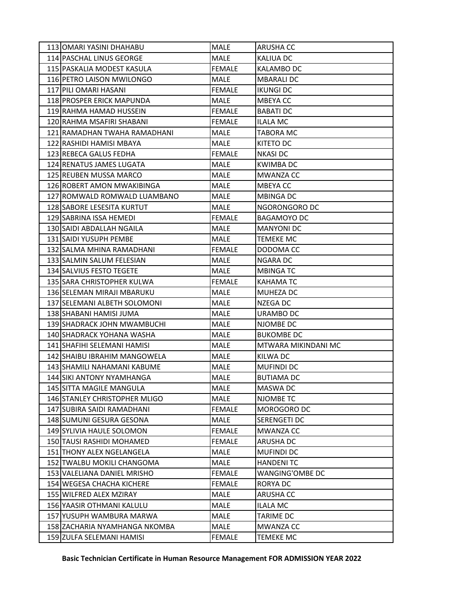| 113 JOMARI YASINI DHAHABU     | MALE          | <b>ARUSHA CC</b>    |
|-------------------------------|---------------|---------------------|
| 114 PASCHAL LINUS GEORGE      | <b>MALE</b>   | <b>KALIUA DC</b>    |
| 115 PASKALIA MODEST KASULA    | <b>FEMALE</b> | <b>KALAMBO DC</b>   |
| 116 PETRO LAISON MWILONGO     | MALE          | <b>MBARALI DC</b>   |
| 117 PILI OMARI HASANI         | <b>FEMALE</b> | <b>IKUNGI DC</b>    |
| 118 PROSPER ERICK MAPUNDA     | MALE          | <b>MBEYACC</b>      |
| 119 RAHMA HAMAD HUSSEIN       | <b>FEMALE</b> | <b>BABATI DC</b>    |
| 120 RAHMA MSAFIRI SHABANI     | <b>FEMALE</b> | <b>ILALA MC</b>     |
| 121 RAMADHAN TWAHA RAMADHANI  | <b>MALE</b>   | <b>TABORA MC</b>    |
| 122 RASHIDI HAMISI MBAYA      | MALE          | KITETO DC           |
| 123 REBECA GALUS FEDHA        | <b>FEMALE</b> | <b>NKASIDC</b>      |
| 124 RENATUS JAMES LUGATA      | <b>MALE</b>   | <b>KWIMBA DC</b>    |
| 125 REUBEN MUSSA MARCO        | MALE          | <b>MWANZA CC</b>    |
| 126 ROBERT AMON MWAKIBINGA    | <b>MALE</b>   | MBEYA CC            |
| 127 ROMWALD ROMWALD LUAMBANO  | MALE          | <b>MBINGA DC</b>    |
| 128 SABORE LESESITA KURTUT    | MALE          | NGORONGORO DC       |
| 129 SABRINA ISSA HEMEDI       | <b>FEMALE</b> | <b>BAGAMOYO DC</b>  |
| 130 SAIDI ABDALLAH NGAILA     | MALE          | <b>MANYONI DC</b>   |
| 131 SAIDI YUSUPH PEMBE        | MALE          | <b>TEMEKE MC</b>    |
| 132 SALMA MHINA RAMADHANI     | <b>FEMALE</b> | DODOMA CC           |
| 133 SALMIN SALUM FELESIAN     | MALE          | NGARA DC            |
| 134 SALVIUS FESTO TEGETE      | MALE          | <b>MBINGATC</b>     |
| 135 SARA CHRISTOPHER KULWA    | <b>FEMALE</b> | <b>KAHAMATC</b>     |
| 136 SELEMAN MIRAJI MBARUKU    | MALE          | MUHEZA DC           |
| 137 SELEMANI ALBETH SOLOMONI  | MALE          | NZEGA DC            |
| 138 SHABANI HAMISI JUMA       | <b>MALE</b>   | URAMBO DC           |
| 139 SHADRACK JOHN MWAMBUCHI   | <b>MALE</b>   | NJOMBE DC           |
| 140 SHADRACK YOHANA WASHA     | MALE          | <b>BUKOMBE DC</b>   |
| 141 SHAFIHI SELEMANI HAMISI   | <b>MALE</b>   | MTWARA MIKINDANI MC |
| 142 SHAIBU IBRAHIM MANGOWELA  | <b>MALE</b>   | <b>KILWA DC</b>     |
| 143 SHAMILI NAHAMANI KABUME   | MALE          | <b>MUFINDI DC</b>   |
| 144 SIKI ANTONY NYAMHANGA     | <b>MALE</b>   | <b>BUTIAMA DC</b>   |
| 145 SITTA MAGILE MANGULA      | MALE          | MASWA DC            |
| 146 STANLEY CHRISTOPHER MLIGO | MALE          | NJOMBE TC           |
| 147 SUBIRA SAIDI RAMADHANI    | <b>FEMALE</b> | MOROGORO DC         |
| 148 SUMUNI GESURA GESONA      | MALE          | <b>SERENGETI DC</b> |
| 149 SYLIVIA HAULE SOLOMON     | <b>FEMALE</b> | MWANZA CC           |
| 150 TAUSI RASHIDI MOHAMED     | <b>FEMALE</b> | ARUSHA DC           |
| 151 THONY ALEX NGELANGELA     | <b>MALE</b>   | <b>MUFINDI DC</b>   |
| 152 TWALBU MOKILI CHANGOMA    | MALE          | <b>HANDENITC</b>    |
| 153 VALELIANA DANIEL MRISHO   | FEMALE        | WANGING'OMBE DC     |
| 154 WEGESA CHACHA KICHERE     | <b>FEMALE</b> | <b>RORYA DC</b>     |
| 155 WILFRED ALEX MZIRAY       | <b>MALE</b>   | <b>ARUSHA CC</b>    |
| 156 YAASIR OTHMANI KALULU     | <b>MALE</b>   | <b>ILALA MC</b>     |
| 157 YUSUPH WAMBURA MARWA      | MALE          | <b>TARIME DC</b>    |
| 158 ZACHARIA NYAMHANGA NKOMBA | MALE          | MWANZA CC           |
| 159 ZULFA SELEMANI HAMISI     | <b>FEMALE</b> | TEMEKE MC           |

**Basic Technician Certificate in Human Resource Management FOR ADMISSION YEAR 2022**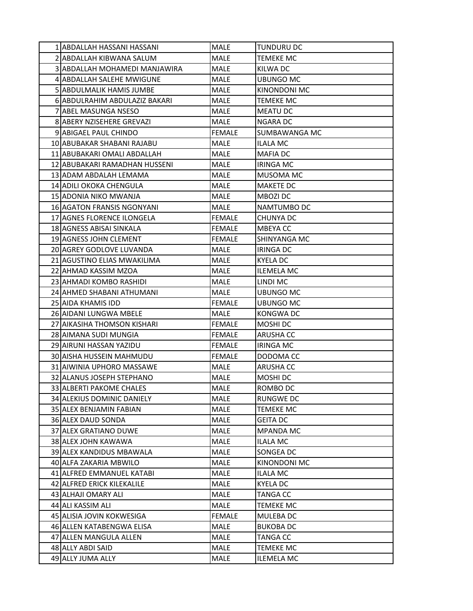| 1 ABDALLAH HASSANI HASSANI        | MALE          | <b>TUNDURU DC</b>    |
|-----------------------------------|---------------|----------------------|
| 2IABDALLAH KIBWANA SALUM          | <b>MALE</b>   | <b>TEMEKE MC</b>     |
| 3 ABDALLAH MOHAMEDI MANJAWIRA     | MALE          | KILWA DC             |
| 4 ABDALLAH SALEHE MWIGUNE         | <b>MALE</b>   | <b>UBUNGO MC</b>     |
| 5 ABDULMALIK HAMIS JUMBE          | MALE          | KINONDONI MC         |
| 6 ABDULRAHIM ABDULAZIZ BAKARI     | <b>MALE</b>   | <b>TEMEKE MC</b>     |
| 7 ABEL MASUNGA NSESO              | <b>MALE</b>   | <b>MEATU DC</b>      |
| <b>8IABERY NZISEHERE GREVAZI</b>  | MALE          | <b>NGARA DC</b>      |
| 9 ABIGAEL PAUL CHINDO             | <b>FEMALE</b> | <b>SUMBAWANGA MC</b> |
| 10 ABUBAKAR SHABANI RAJABU        | MALE          | ILALA MC             |
| 11 ABUBAKARI OMALI ABDALLAH       | MALE          | <b>MAFIA DC</b>      |
| 12 JABUBAKARI RAMADHAN HUSSENI    | <b>MALE</b>   | <b>IRINGA MC</b>     |
| 13 ADAM ABDALAH LEMAMA            | MALE          | MUSOMA MC            |
| 14 ADILI OKOKA CHENGULA           | <b>MALE</b>   | <b>MAKETE DC</b>     |
| 15 ADONIA NIKO MWANJA             | MALE          | MBOZI DC             |
| <b>16 AGATON FRANSIS NGONYANI</b> | MALE          | NAMTUMBO DC          |
| 17 AGNES FLORENCE ILONGELA        | <b>FEMALE</b> | CHUNYA DC            |
| 18 AGNESS ABISAI SINKALA          | <b>FEMALE</b> | <b>MBEYACC</b>       |
| 19 AGNESS JOHN CLEMENT            | <b>FEMALE</b> | <b>SHINYANGA MC</b>  |
| 20 AGREY GODLOVE LUVANDA          | MALE          | <b>IRINGA DC</b>     |
| 21 AGUSTINO ELIAS MWAKILIMA       | MALE          | <b>KYELA DC</b>      |
| 22 AHMAD KASSIM MZOA              | MALE          | <b>ILEMELA MC</b>    |
| 23 AHMADI KOMBO RASHIDI           | MALE          | LINDI MC             |
| 24 AHMED SHABANI ATHUMANI         | MALE          | UBUNGO MC            |
| 25 AIDA KHAMIS IDD                | <b>FEMALE</b> | UBUNGO MC            |
| 26 AIDANI LUNGWA MBELE            | MALE          | <b>KONGWADC</b>      |
| 27 AIKASIHA THOMSON KISHARI       | <b>FEMALE</b> | MOSHI DC             |
| 28 AIMANA SUDI MUNGIA             | <b>FEMALE</b> | <b>ARUSHA CC</b>     |
| 29 AIRUNI HASSAN YAZIDU           | <b>FEMALE</b> | <b>IRINGA MC</b>     |
| <b>30 AISHA HUSSEIN MAHMUDU</b>   | <b>FEMALE</b> | DODOMA CC            |
| 31 AIWINIA UPHORO MASSAWE         | <b>MALE</b>   | <b>ARUSHA CC</b>     |
| 32 ALANUS JOSEPH STEPHANO         | <b>MALE</b>   | MOSHI DC             |
| 33 ALBERTI PAKOME CHALES          | MALE          | ROMBO DC             |
| 34 ALEKIUS DOMINIC DANIELY        | MALE          | RUNGWE DC            |
| 35 ALEX BENJAMIN FABIAN           | MALE          | <b>TEMEKE MC</b>     |
| 36 ALEX DAUD SONDA                | MALE          | <b>GEITA DC</b>      |
| 37 ALEX GRATIANO DUWE             | MALE          | <b>MPANDA MC</b>     |
| 38 ALEX JOHN KAWAWA               | MALE          | <b>ILALA MC</b>      |
| 39 ALEX KANDIDUS MBAWALA          | MALE          | SONGEA DC            |
| 40 ALFA ZAKARIA MBWILO            | MALE          | KINONDONI MC         |
| 41 ALFRED EMMANUEL KATABI         | MALE          | <b>ILALA MC</b>      |
| 42 ALFRED ERICK KILEKALILE        | MALE          | <b>KYELA DC</b>      |
| 43 ALHAJI OMARY ALI               | MALE          | <b>TANGA CC</b>      |
| 44 ALI KASSIM ALI                 | MALE          | <b>TEMEKE MC</b>     |
| 45 ALISIA JOVIN KOKWESIGA         | <b>FEMALE</b> | <b>MULEBA DC</b>     |
| 46 ALLEN KATABENGWA ELISA         | MALE          | <b>BUKOBA DC</b>     |
| 47 ALLEN MANGULA ALLEN            | MALE          | TANGA CC             |
| 48 ALLY ABDI SAID                 | MALE          | <b>TEMEKE MC</b>     |
| 49 ALLY JUMA ALLY                 | MALE          | <b>ILEMELA MC</b>    |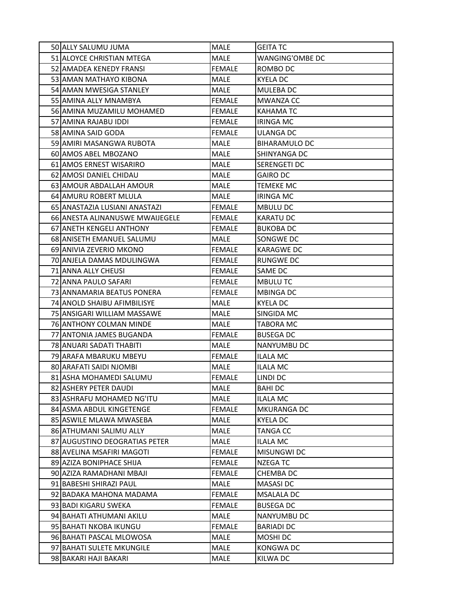| 50 ALLY SALUMU JUMA         |                                 | MALE          | <b>GEITA TC</b>        |
|-----------------------------|---------------------------------|---------------|------------------------|
| 51 ALOYCE CHRISTIAN MTEGA   |                                 | <b>MALE</b>   | <b>WANGING'OMBE DC</b> |
| 52 AMADEA KENEDY FRANSI     |                                 | <b>FEMALE</b> | ROMBO DC               |
| 53 AMAN MATHAYO KIBONA      |                                 | MALE          | <b>KYELA DC</b>        |
| 54 AMAN MWESIGA STANLEY     |                                 | <b>MALE</b>   | <b>MULEBA DC</b>       |
| 55 AMINA ALLY MNAMBYA       |                                 | <b>FEMALE</b> | <b>MWANZA CC</b>       |
|                             | 56 AMINA MUZAMILU MOHAMED       | <b>FEMALE</b> | <b>KAHAMATC</b>        |
| 57 AMINA RAJABU IDDI        |                                 | <b>FEMALE</b> | <b>IRINGA MC</b>       |
| 58 AMINA SAID GODA          |                                 | <b>FEMALE</b> | <b>ULANGA DC</b>       |
| 59 AMIRI MASANGWA RUBOTA    |                                 | <b>MALE</b>   | <b>BIHARAMULO DC</b>   |
| 60 AMOS ABEL MBOZANO        |                                 | MALE          | SHINYANGA DC           |
| 61 AMOS ERNEST WISARIRO     |                                 | <b>MALE</b>   | <b>SERENGETI DC</b>    |
| 62 AMOSI DANIEL CHIDAU      |                                 | <b>MALE</b>   | <b>GAIRO DC</b>        |
| 63 AMOUR ABDALLAH AMOUR     |                                 | MALE          | TEMEKE MC              |
| 64 AMURU ROBERT MLULA       |                                 | MALE          | <b>IRINGA MC</b>       |
|                             | 65 ANASTAZIA LUSIANI ANASTAZI   | <b>FEMALE</b> | <b>MBULU DC</b>        |
|                             | 66 ANESTA ALINANUSWE MWAIJEGELE | <b>FEMALE</b> | <b>KARATU DC</b>       |
| 67 ANETH KENGELI ANTHONY    |                                 | <b>FEMALE</b> | <b>BUKOBA DC</b>       |
| 68 ANISETH EMANUEL SALUMU   |                                 | MALE          | <b>SONGWE DC</b>       |
| 69 ANIVIA ZEVERIO MKONO     |                                 | <b>FEMALE</b> | <b>KARAGWE DC</b>      |
| 70JANJELA DAMAS MDULINGWA   |                                 | <b>FEMALE</b> | RUNGWE DC              |
| 71 ANNA ALLY CHEUSI         |                                 | <b>FEMALE</b> | SAME DC                |
| 72 ANNA PAULO SAFARI        |                                 | <b>FEMALE</b> | <b>MBULUTC</b>         |
|                             | 73 ANNAMARIA BEATUS PONERA      | <b>FEMALE</b> | <b>MBINGA DC</b>       |
| 74 ANOLD SHAIBU AFIMBILISYE |                                 | <b>MALE</b>   | <b>KYELA DC</b>        |
|                             | 75 ANSIGARI WILLIAM MASSAWE     | MALE          | SINGIDA MC             |
| 76 ANTHONY COLMAN MINDE     |                                 | MALE          | TABORA MC              |
| 77 ANTONIA JAMES BUGANDA    |                                 | <b>FEMALE</b> | <b>BUSEGA DC</b>       |
| 78 ANUARI SADATI THABITI    |                                 | <b>MALE</b>   | <b>NANYUMBU DC</b>     |
| 79 ARAFA MBARUKU MBEYU      |                                 | <b>FEMALE</b> | <b>ILALA MC</b>        |
| 80 ARAFATI SAIDI NJOMBI     |                                 | MALE          | ILALA MC               |
| 81 ASHA MOHAMEDI SALUMU     |                                 | <b>FEMALE</b> | LINDI DC               |
| 82 ASHERY PETER DAUDI       |                                 | MALE          | <b>BAHIDC</b>          |
| 83 ASHRAFU MOHAMED NG'ITU   |                                 | MALE          | <b>ILALA MC</b>        |
| 84 ASMA ABDUL KINGETENGE    |                                 | <b>FEMALE</b> | <b>MKURANGA DC</b>     |
| 85 ASWILE MLAWA MWASEBA     |                                 | MALE          | <b>KYELA DC</b>        |
| 86 ATHUMANI SALIMU ALLY     |                                 | MALE          | TANGA CC               |
|                             | 87 AUGUSTINO DEOGRATIAS PETER   | MALE          | <b>ILALA MC</b>        |
| 88 AVELINA MSAFIRI MAGOTI   |                                 | <b>FEMALE</b> | <b>MISUNGWI DC</b>     |
| 89 AZIZA BONIPHACE SHIJA    |                                 | <b>FEMALE</b> | <b>NZEGATC</b>         |
| 90 AZIZA RAMADHANI MBAJI    |                                 | <b>FEMALE</b> | CHEMBA DC              |
| 91 BABESHI SHIRAZI PAUL     |                                 | MALE          | <b>MASASIDC</b>        |
| 92 BADAKA MAHONA MADAMA     |                                 | <b>FEMALE</b> | <b>MSALALA DC</b>      |
| 93 BADI KIGARU SWEKA        |                                 | <b>FEMALE</b> | <b>BUSEGA DC</b>       |
| 94 BAHATI ATHUMANI AKILU    |                                 | MALE          | <b>NANYUMBU DC</b>     |
| 95 BAHATI NKOBA IKUNGU      |                                 | <b>FEMALE</b> | <b>BARIADI DC</b>      |
| 96 BAHATI PASCAL MLOWOSA    |                                 | MALE          | MOSHI DC               |
| 97 BAHATI SULETE MKUNGILE   |                                 | MALE          | <b>KONGWADC</b>        |
| 98 BAKARI HAJI BAKARI       |                                 | MALE          | <b>KILWA DC</b>        |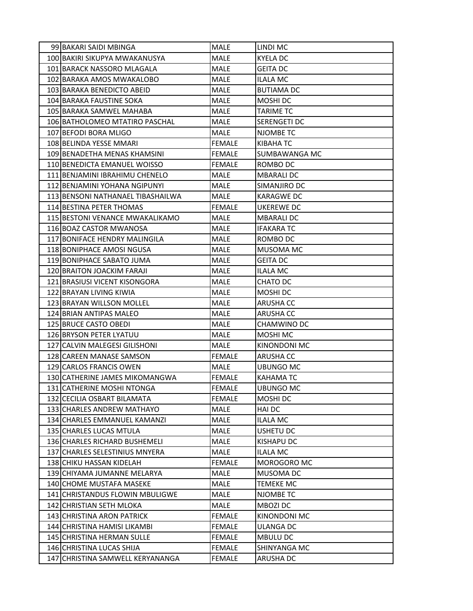| 99 BAKARI SAIDI MBINGA            | MALE          | LINDI MC            |
|-----------------------------------|---------------|---------------------|
| 100 BAKIRI SIKUPYA MWAKANUSYA     | <b>MALE</b>   | <b>KYELA DC</b>     |
| 101 BARACK NASSORO MLAGALA        | <b>MALE</b>   | <b>GEITA DC</b>     |
| 102 BARAKA AMOS MWAKALOBO         | <b>MALE</b>   | <b>ILALA MC</b>     |
| 103 BARAKA BENEDICTO ABEID        | <b>MALE</b>   | <b>BUTIAMA DC</b>   |
| 104 BARAKA FAUSTINE SOKA          | <b>MALE</b>   | MOSHI DC            |
| 105 BARAKA SAMWEL MAHABA          | <b>MALE</b>   | <b>TARIME TC</b>    |
| 106 BATHOLOMEO MTATIRO PASCHAL    | <b>MALE</b>   | <b>SERENGETI DC</b> |
| 107 BEFODI BORA MLIGO             | MALE          | <b>NJOMBE TC</b>    |
| 108 BELINDA YESSE MMARI           | <b>FEMALE</b> | KIBAHA TC           |
| 109 BENADETHA MENAS KHAMSINI      | <b>FEMALE</b> | SUMBAWANGA MC       |
| 110 BENEDICTA EMANUEL WOISSO      | <b>FEMALE</b> | ROMBO DC            |
| 111 BENJAMINI IBRAHIMU CHENELO    | <b>MALE</b>   | <b>MBARALI DC</b>   |
| 112 BENJAMINI YOHANA NGIPUNYI     | <b>MALE</b>   | SIMANJIRO DC        |
| 113 BENSONI NATHANAEL TIBASHAILWA | <b>MALE</b>   | <b>KARAGWE DC</b>   |
| 114 BESTINA PETER THOMAS          | <b>FEMALE</b> | UKEREWE DC          |
| 115 BESTONI VENANCE MWAKALIKAMO   | <b>MALE</b>   | <b>MBARALI DC</b>   |
| 116 BOAZ CASTOR MWANOSA           | MALE          | <b>IFAKARA TC</b>   |
| 117 BONIFACE HENDRY MALINGILA     | <b>MALE</b>   | ROMBO DC            |
| 118 BONIPHACE AMOSI NGUSA         | <b>MALE</b>   | <b>MUSOMA MC</b>    |
| 119 BONIPHACE SABATO JUMA         | MALE          | <b>GEITA DC</b>     |
| 120 BRAITON JOACKIM FARAJI        | <b>MALE</b>   | <b>ILALA MC</b>     |
| 121 BRASIUSI VICENT KISONGORA     | <b>MALE</b>   | CHATO DC            |
| 122 BRAYAN LIVING KIWIA           | MALE          | MOSHI DC            |
| 123 BRAYAN WILLSON MOLLEL         | <b>MALE</b>   | <b>ARUSHA CC</b>    |
| 124 BRIAN ANTIPAS MALEO           | <b>MALE</b>   | <b>ARUSHA CC</b>    |
| 125 BRUCE CASTO OBEDI             | <b>MALE</b>   | CHAMWINO DC         |
| 126 BRYSON PETER LYATUU           | MALE          | <b>MOSHI MC</b>     |
| 127 CALVIN MALEGESI GILISHONI     | MALE          | <b>KINONDONI MC</b> |
| 128 CAREEN MANASE SAMSON          | <b>FEMALE</b> | <b>ARUSHA CC</b>    |
| 129 CARLOS FRANCIS OWEN           | MALE          | UBUNGO MC           |
| 130 CATHERINE JAMES MIKOMANGWA    | <b>FEMALE</b> | <b>KAHAMATC</b>     |
| 131 CATHERINE MOSHI NTONGA        | FEMALE        | <b>UBUNGO MC</b>    |
| 132 CECILIA OSBART BILAMATA       | <b>FEMALE</b> | MOSHI DC            |
| 133 CHARLES ANDREW MATHAYO        | MALE          | <b>HAIDC</b>        |
| 134 CHARLES EMMANUEL KAMANZI      | MALE          | <b>ILALA MC</b>     |
| 135 CHARLES LUCAS MTULA           | MALE          | <b>USHETU DC</b>    |
| 136 CHARLES RICHARD BUSHEMELI     | MALE          | <b>KISHAPU DC</b>   |
| 137 CHARLES SELESTINIUS MNYERA    | MALE          | <b>ILALA MC</b>     |
| 138 CHIKU HASSAN KIDELAH          | <b>FEMALE</b> | MOROGORO MC         |
| 139 CHIYAMA JUMANNE MELARYA       | MALE          | MUSOMA DC           |
| 140 CHOME MUSTAFA MASEKE          | <b>MALE</b>   | <b>TEMEKE MC</b>    |
| 141 CHRISTANDUS FLOWIN MBULIGWE   | MALE          | NJOMBE TC           |
| 142 CHRISTIAN SETH MLOKA          | MALE          | MBOZI DC            |
| 143 CHRISTINA ARON PATRICK        | <b>FEMALE</b> | <b>KINONDONI MC</b> |
| 144 CHRISTINA HAMISI LIKAMBI      | <b>FEMALE</b> | <b>ULANGA DC</b>    |
| 145 CHRISTINA HERMAN SULLE        | <b>FEMALE</b> | <b>MBULU DC</b>     |
| 146 CHRISTINA LUCAS SHIJA         | <b>FEMALE</b> | SHINYANGA MC        |
| 147 CHRISTINA SAMWELL KERYANANGA  | <b>FEMALE</b> | <b>ARUSHA DC</b>    |
|                                   |               |                     |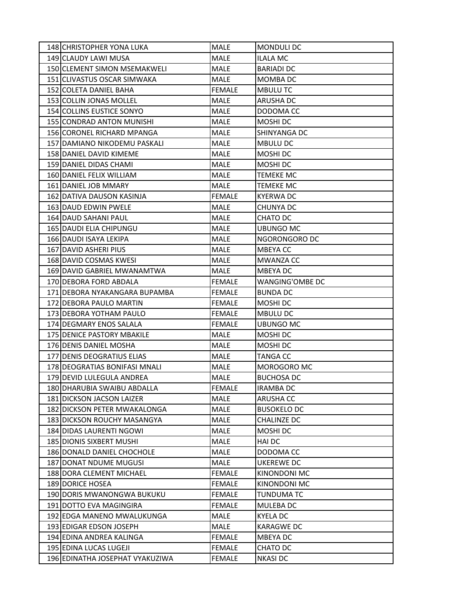| 148 CHRISTOPHER YONA LUKA        | MALE          | <b>MONDULI DC</b>      |
|----------------------------------|---------------|------------------------|
| 149 CLAUDY LAWI MUSA             | <b>MALE</b>   | <b>ILALA MC</b>        |
| 150 CLEMENT SIMON MSEMAKWELI     | MALE          | <b>BARIADI DC</b>      |
| 151 CLIVASTUS OSCAR SIMWAKA      | <b>MALE</b>   | MOMBA DC               |
| 152 COLETA DANIEL BAHA           | <b>FEMALE</b> | <b>MBULUTC</b>         |
| 153 COLLIN JONAS MOLLEL          | <b>MALE</b>   | <b>ARUSHA DC</b>       |
| 154 COLLINS EUSTICE SONYO        | <b>MALE</b>   | DODOMA CC              |
| <b>155 CONDRAD ANTON MUNISHI</b> | <b>MALE</b>   | MOSHI DC               |
| 156 CORONEL RICHARD MPANGA       | <b>MALE</b>   | SHINYANGA DC           |
| 157 DAMIANO NIKODEMU PASKALI     | <b>MALE</b>   | <b>MBULU DC</b>        |
| 158 DANIEL DAVID KIMEME          | MALE          | MOSHI DC               |
| 159 DANIEL DIDAS CHAMI           | <b>MALE</b>   | MOSHI DC               |
| 160 DANIEL FELIX WILLIAM         | <b>MALE</b>   | <b>TEMEKE MC</b>       |
| 161 DANIEL JOB MMARY             | <b>MALE</b>   | <b>TEMEKE MC</b>       |
| 162 DATIVA DAUSON KASINJA        | <b>FEMALE</b> | <b>KYERWA DC</b>       |
| 163 DAUD EDWIN PWELE             | <b>MALE</b>   | CHUNYA DC              |
| 164 DAUD SAHANI PAUL             | <b>MALE</b>   | CHATO DC               |
| 165 DAUDI ELIA CHIPUNGU          | <b>MALE</b>   | <b>UBUNGO MC</b>       |
| 166 DAUDI ISAYA LEKIPA           | <b>MALE</b>   | NGORONGORO DC          |
| 167 DAVID ASHERI PIUS            | <b>MALE</b>   | <b>MBEYACC</b>         |
| 168 DAVID COSMAS KWESI           | <b>MALE</b>   | <b>MWANZA CC</b>       |
| 169 DAVID GABRIEL MWANAMTWA      | MALE          | <b>MBEYADC</b>         |
| 170 DEBORA FORD ABDALA           | <b>FEMALE</b> | <b>WANGING'OMBE DC</b> |
| 171 DEBORA NYAKANGARA BUPAMBA    | <b>FEMALE</b> | <b>BUNDA DC</b>        |
| 172 DEBORA PAULO MARTIN          | <b>FEMALE</b> | MOSHI DC               |
| 173 DEBORA YOTHAM PAULO          | <b>FEMALE</b> | <b>MBULU DC</b>        |
| 174 DEGMARY ENOS SALALA          | <b>FEMALE</b> | <b>UBUNGO MC</b>       |
| 175 DENICE PASTORY MBAKILE       | <b>MALE</b>   | MOSHI DC               |
| 176 DENIS DANIEL MOSHA           | MALE          | MOSHI DC               |
| 177 DENIS DEOGRATIUS ELIAS       | MALE          | <b>TANGA CC</b>        |
| 178 DEOGRATIAS BONIFASI MNALI    | <b>MALE</b>   | MOROGORO MC            |
| 179 DEVID LULEGULA ANDREA        | MALE          | <b>BUCHOSA DC</b>      |
| 180 DHARUBIA SWAIBU ABDALLA      | <b>FEMALE</b> | <b>IRAMBA DC</b>       |
| 181 DICKSON JACSON LAIZER        | <b>MALE</b>   | ARUSHA CC              |
| 182 DICKSON PETER MWAKALONGA     | MALE          | <b>BUSOKELO DC</b>     |
| 183 DICKSON ROUCHY MASANGYA      | MALE          | <b>CHALINZE DC</b>     |
| 184 DIDAS LAURENTI NGOWI         | MALE          | MOSHI DC               |
| <b>185 DIONIS SIXBERT MUSHI</b>  | <b>MALE</b>   | <b>HAI DC</b>          |
| 186 DONALD DANIEL CHOCHOLE       | MALE          | DODOMA CC              |
| 187 DONAT NDUME MUGUSI           | MALE          | <b>UKEREWE DC</b>      |
| <b>188 DORA CLEMENT MICHAEL</b>  | <b>FEMALE</b> | KINONDONI MC           |
| 189 DORICE HOSEA                 | <b>FEMALE</b> | KINONDONI MC           |
| 190 DORIS MWANONGWA BUKUKU       | <b>FEMALE</b> | <b>TUNDUMA TC</b>      |
| 191 DOTTO EVA MAGINGIRA          | <b>FEMALE</b> | MULEBA DC              |
| 192 EDGA MANENO MWALUKUNGA       | MALE          | <b>KYELA DC</b>        |
| 193 EDIGAR EDSON JOSEPH          | MALE          | <b>KARAGWE DC</b>      |
| 194 EDINA ANDREA KALINGA         | <b>FEMALE</b> | MBEYA DC               |
| 195 EDINA LUCAS LUGEJI           | <b>FEMALE</b> | CHATO DC               |
| 196 EDINATHA JOSEPHAT VYAKUZIWA  | <b>FEMALE</b> | <b>NKASI DC</b>        |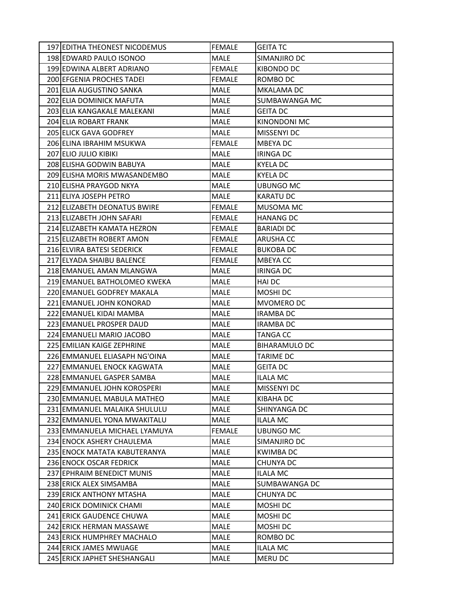|                              | 197 EDITHA THEONEST NICODEMUS | <b>FEMALE</b> | <b>GEITA TC</b>      |
|------------------------------|-------------------------------|---------------|----------------------|
|                              | 198 EDWARD PAULO ISONOO       | <b>MALE</b>   | SIMANJIRO DC         |
|                              | 199 EDWINA ALBERT ADRIANO     | <b>FEMALE</b> | KIBONDO DC           |
|                              | 200 EFGENIA PROCHES TADEI     | <b>FEMALE</b> | ROMBO DC             |
|                              | 201 ELIA AUGUSTINO SANKA      | <b>MALE</b>   | MKALAMA DC           |
|                              | 202 ELIA DOMINICK MAFUTA      | <b>MALE</b>   | SUMBAWANGA MC        |
|                              | 203 ELIA KANGAKALE MALEKANI   | <b>MALE</b>   | <b>GEITA DC</b>      |
|                              | 204 ELIA ROBART FRANK         | MALE          | KINONDONI MC         |
|                              | 205 ELICK GAVA GODFREY        | <b>MALE</b>   | MISSENYI DC          |
|                              | 206 ELINA IBRAHIM MSUKWA      | <b>FEMALE</b> | MBEYA DC             |
| <b>207 ELIO JULIO KIBIKI</b> |                               | <b>MALE</b>   | <b>IRINGA DC</b>     |
|                              | 208 ELISHA GODWIN BABUYA      | <b>MALE</b>   | <b>KYELA DC</b>      |
|                              | 209 ELISHA MORIS MWASANDEMBO  | <b>MALE</b>   | <b>KYELA DC</b>      |
|                              | 210 ELISHA PRAYGOD NKYA       | <b>MALE</b>   | <b>UBUNGO MC</b>     |
|                              | 211 ELIYA JOSEPH PETRO        | MALE          | <b>KARATU DC</b>     |
|                              | 212 ELIZABETH DEONATUS BWIRE  | <b>FEMALE</b> | <b>MUSOMA MC</b>     |
|                              | 213 ELIZABETH JOHN SAFARI     | <b>FEMALE</b> | <b>HANANG DC</b>     |
|                              | 214 ELIZABETH KAMATA HEZRON   | <b>FEMALE</b> | <b>BARIADI DC</b>    |
|                              | 215 ELIZABETH ROBERT AMON     | <b>FEMALE</b> | <b>ARUSHA CC</b>     |
|                              | 216 ELVIRA BATESI SEDERICK    | <b>FEMALE</b> | <b>BUKOBA DC</b>     |
|                              | 217 ELYADA SHAIBU BALENCE     | <b>FEMALE</b> | MBEYA CC             |
|                              | 218 EMANUEL AMAN MLANGWA      | MALE          | <b>IRINGA DC</b>     |
|                              | 219 EMANUEL BATHOLOMEO KWEKA  | <b>MALE</b>   | <b>HAI DC</b>        |
|                              | 220 EMANUEL GODFREY MAKALA    | MALE          | MOSHI DC             |
|                              | 221 EMANUEL JOHN KONORAD      | MALE          | MVOMERO DC           |
|                              | 222 EMANUEL KIDAI MAMBA       | <b>MALE</b>   | <b>IRAMBA DC</b>     |
|                              | 223 EMANUEL PROSPER DAUD      | <b>MALE</b>   | <b>IRAMBA DC</b>     |
|                              | 224 EMANUELI MARIO JACOBO     | MALE          | <b>TANGA CC</b>      |
|                              | 225 EMILIAN KAIGE ZEPHRINE    | MALE          | <b>BIHARAMULO DC</b> |
|                              | 226 EMMANUEL ELIASAPH NG'OINA | MALE          | <b>TARIME DC</b>     |
|                              | 227 EMMANUEL ENOCK KAGWATA    | <b>MALE</b>   | <b>GEITA DC</b>      |
|                              | 228 EMMANUEL GASPER SAMBA     | <b>MALE</b>   | <b>ILALA MC</b>      |
|                              | 229 EMMANUEL JOHN KOROSPERI   | MALE          | MISSENYI DC          |
|                              | 230 EMMANUEL MABULA MATHEO    | <b>MALE</b>   | KIBAHA DC            |
|                              | 231 EMMANUEL MALAIKA SHULULU  | <b>MALE</b>   | SHINYANGA DC         |
|                              | 232 EMMANUEL YONA MWAKITALU   | MALE          | <b>ILALA MC</b>      |
|                              | 233 EMMANUELA MICHAEL LYAMUYA | <b>FEMALE</b> | <b>UBUNGO MC</b>     |
|                              | 234 ENOCK ASHERY CHAULEMA     | <b>MALE</b>   | SIMANJIRO DC         |
|                              | 235 ENOCK MATATA KABUTERANYA  | MALE          | <b>KWIMBA DC</b>     |
|                              | 236 ENOCK OSCAR FEDRICK       | MALE          | CHUNYA DC            |
|                              | 237 EPHRAIM BENEDICT MUNIS    | MALE          | <b>ILALA MC</b>      |
|                              | 238 ERICK ALEX SIMSAMBA       | MALE          | SUMBAWANGA DC        |
|                              | 239 ERICK ANTHONY MTASHA      | MALE          | CHUNYA DC            |
|                              | 240 ERICK DOMINICK CHAMI      | MALE          | MOSHI DC             |
|                              | 241 ERICK GAUDENCE CHUWA      | MALE          | MOSHI DC             |
|                              | 242 ERICK HERMAN MASSAWE      | MALE          | MOSHI DC             |
|                              | 243 ERICK HUMPHREY MACHALO    | MALE          | ROMBO DC             |
|                              | 244 ERICK JAMES MWIJAGE       | MALE          | <b>ILALA MC</b>      |
|                              | 245 ERICK JAPHET SHESHANGALI  | MALE          | <b>MERU DC</b>       |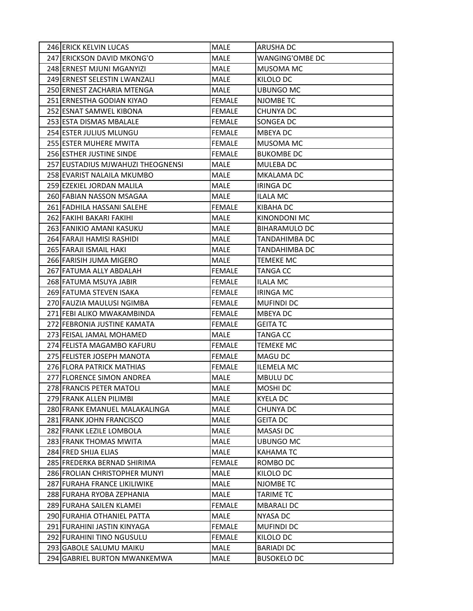| 246 ERICK KELVIN LUCAS            | MALE          | <b>ARUSHA DC</b>       |
|-----------------------------------|---------------|------------------------|
| 247 ERICKSON DAVID MKONG'O        | <b>MALE</b>   | <b>WANGING'OMBE DC</b> |
| 248 ERNEST MJUNI MGANYIZI         | MALE          | <b>MUSOMA MC</b>       |
| 249 ERNEST SELESTIN LWANZALI      | <b>MALE</b>   | KILOLO DC              |
| 250 ERNEST ZACHARIA MTENGA        | <b>MALE</b>   | <b>UBUNGO MC</b>       |
| 251 ERNESTHA GODIAN KIYAO         | <b>FEMALE</b> | <b>NJOMBE TC</b>       |
| 252 ESNAT SAMWEL KIBONA           | <b>FEMALE</b> | CHUNYA DC              |
| 253 ESTA DISMAS MBALALE           | <b>FEMALE</b> | SONGEA DC              |
| 254 ESTER JULIUS MLUNGU           | <b>FEMALE</b> | <b>MBEYADC</b>         |
| 255 ESTER MUHERE MWITA            | <b>FEMALE</b> | <b>MUSOMA MC</b>       |
| 256 ESTHER JUSTINE SINDE          | <b>FEMALE</b> | <b>BUKOMBE DC</b>      |
| 257 EUSTADIUS MJWAHUZI THEOGNENSI | <b>MALE</b>   | <b>MULEBADC</b>        |
| 258 EVARIST NALAILA MKUMBO        | MALE          | <b>MKALAMA DC</b>      |
| 259 EZEKIEL JORDAN MALILA         | <b>MALE</b>   | <b>IRINGA DC</b>       |
| 260 FABIAN NASSON MSAGAA          | MALE          | <b>ILALA MC</b>        |
| 261 FADHILA HASSANI SALEHE        | <b>FEMALE</b> | <b>KIBAHA DC</b>       |
| 262 FAKIHI BAKARI FAKIHI          | <b>MALE</b>   | KINONDONI MC           |
| 263 FANIKIO AMANI KASUKU          | <b>MALE</b>   | <b>BIHARAMULO DC</b>   |
| 264 FARAJI HAMISI RASHIDI         | <b>MALE</b>   | <b>TANDAHIMBA DC</b>   |
| 265 FARAJI ISMAIL HAKI            | <b>MALE</b>   | TANDAHIMBA DC          |
| 266 FARISIH JUMA MIGERO           | <b>MALE</b>   | <b>TEMEKE MC</b>       |
| 267 FATUMA ALLY ABDALAH           | <b>FEMALE</b> | TANGA CC               |
| 268 FATUMA MSUYA JABIR            | <b>FEMALE</b> | <b>ILALA MC</b>        |
| 269 FATUMA STEVEN ISAKA           | <b>FEMALE</b> | <b>IRINGA MC</b>       |
| 270 FAUZIA MAULUSI NGIMBA         | <b>FEMALE</b> | <b>MUFINDI DC</b>      |
| 271 FEBI ALIKO MWAKAMBINDA        | <b>FEMALE</b> | <b>MBEYADC</b>         |
| 272 FEBRONIA JUSTINE KAMATA       | <b>FEMALE</b> | <b>GEITA TC</b>        |
| 273 FEISAL JAMAL MOHAMED          | MALE          | TANGA CC               |
| 274 FELISTA MAGAMBO KAFURU        | <b>FEMALE</b> | <b>TEMEKE MC</b>       |
| 275 FELISTER JOSEPH MANOTA        | <b>FEMALE</b> | <b>MAGU DC</b>         |
| 276 FLORA PATRICK MATHIAS         | <b>FEMALE</b> | <b>ILEMELA MC</b>      |
| 277 FLORENCE SIMON ANDREA         | MALE          | <b>MBULU DC</b>        |
| 278 FRANCIS PETER MATOLI          | MALE          | MOSHI DC               |
| 279 FRANK ALLEN PILIMBI           | MALE          | <b>KYELA DC</b>        |
| 280 FRANK EMANUEL MALAKALINGA     | <b>MALE</b>   | <b>CHUNYA DC</b>       |
| 281 FRANK JOHN FRANCISCO          | MALE          | <b>GEITA DC</b>        |
| 282 FRANK LEZILE LOMBOLA          | MALE          | <b>MASASIDC</b>        |
| 283 FRANK THOMAS MWITA            | MALE          | UBUNGO MC              |
| 284 FRED SHIJA ELIAS              | MALE          | <b>KAHAMATC</b>        |
| 285 FREDERKA BERNAD SHIRIMA       | <b>FEMALE</b> | ROMBO DC               |
| 286 FROLIAN CHRISTOPHER MUNYI     | MALE          | KILOLO DC              |
| 287 FURAHA FRANCE LIKILIWIKE      | MALE          | NJOMBE TC              |
| 288 FURAHA RYOBA ZEPHANIA         | MALE          | <b>TARIME TC</b>       |
| 289 FURAHA SAILEN KLAMEI          | <b>FEMALE</b> | <b>MBARALIDC</b>       |
| 290 FURAHIA OTHANIEL PATTA        | MALE          | <b>NYASA DC</b>        |
| 291 FURAHINI JASTIN KINYAGA       | <b>FEMALE</b> | <b>MUFINDI DC</b>      |
| 292 FURAHINI TINO NGUSULU         | <b>FEMALE</b> | KILOLO DC              |
| 293 GABOLE SALUMU MAIKU           | MALE          | <b>BARIADI DC</b>      |
| 294 GABRIEL BURTON MWANKEMWA      | <b>MALE</b>   | <b>BUSOKELO DC</b>     |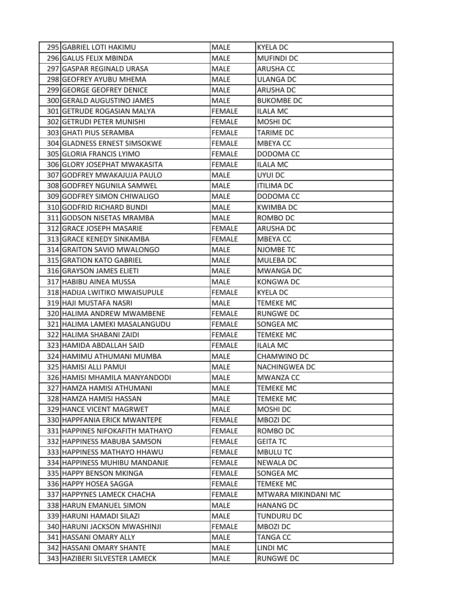| 295 GABRIEL LOTI HAKIMU         | MALE          | <b>KYELA DC</b>      |
|---------------------------------|---------------|----------------------|
| 296 GALUS FELIX MBINDA          | <b>MALE</b>   | <b>MUFINDI DC</b>    |
| 297 GASPAR REGINALD URASA       | <b>MALE</b>   | <b>ARUSHA CC</b>     |
| 298 GEOFREY AYUBU MHEMA         | <b>MALE</b>   | ULANGA DC            |
| 299 GEORGE GEOFREY DENICE       | <b>MALE</b>   | <b>ARUSHA DC</b>     |
| 300 GERALD AUGUSTINO JAMES      | MALE          | <b>BUKOMBE DC</b>    |
| 301 GETRUDE ROGASIAN MALYA      | <b>FEMALE</b> | <b>ILALA MC</b>      |
| 302 GETRUDI PETER MUNISHI       | <b>FEMALE</b> | MOSHI DC             |
| 303 GHATI PIUS SERAMBA          | <b>FEMALE</b> | <b>TARIME DC</b>     |
| 304 GLADNESS ERNEST SIMSOKWE    | <b>FEMALE</b> | <b>MBEYACC</b>       |
| 305 GLORIA FRANCIS LYIMO        | <b>FEMALE</b> | DODOMA CC            |
| 306 GLORY JOSEPHAT MWAKASITA    | <b>FEMALE</b> | <b>ILALA MC</b>      |
| 307 GODFREY MWAKAJUJA PAULO     | <b>MALE</b>   | UYUI DC              |
| 308 GODFREY NGUNILA SAMWEL      | <b>MALE</b>   | <b>ITILIMA DC</b>    |
| 309 GODFREY SIMON CHIWALIGO     | <b>MALE</b>   | DODOMA CC            |
| 310 GODFRID RICHARD BUNDI       | <b>MALE</b>   | <b>KWIMBA DC</b>     |
| 311 GODSON NISETAS MRAMBA       | <b>MALE</b>   | ROMBO DC             |
| 312 GRACE JOSEPH MASARIE        | <b>FEMALE</b> | <b>ARUSHA DC</b>     |
| 313 GRACE KENEDY SINKAMBA       | <b>FEMALE</b> | <b>MBEYACC</b>       |
| 314 GRAITON SAVIO MWALONGO      | <b>MALE</b>   | NJOMBE TC            |
| 315 GRATION KATO GABRIEL        | MALE          | MULEBA DC            |
| 316 GRAYSON JAMES ELIETI        | MALE          | <b>MWANGA DC</b>     |
| 317 HABIBU AINEA MUSSA          | MALE          | <b>KONGWA DC</b>     |
| 318 HADIJA LWITIKO MWAISUPULE   | <b>FEMALE</b> | KYELA DC             |
| 319 HAJI MUSTAFA NASRI          | <b>MALE</b>   | <b>TEMEKE MC</b>     |
| 320 HALIMA ANDREW MWAMBENE      | <b>FEMALE</b> | <b>RUNGWE DC</b>     |
| 321 HALIMA LAMEKI MASALANGUDU   | <b>FEMALE</b> | SONGEA MC            |
| 322 HALIMA SHABANI ZAIDI        | <b>FEMALE</b> | <b>TEMEKE MC</b>     |
| 323 HAMIDA ABDALLAH SAID        | <b>FEMALE</b> | <b>ILALA MC</b>      |
| 324 HAMIMU ATHUMANI MUMBA       | <b>MALE</b>   | CHAMWINO DC          |
| 325 HAMISI ALLI PAMUI           | MALE          | <b>NACHINGWEA DC</b> |
| 326 HAMISI MHAMILA MANYANDODI   | <b>MALE</b>   | <b>MWANZA CC</b>     |
| 327 HAMZA HAMISI ATHUMANI       | MALE          | <b>TEMEKE MC</b>     |
| 328 HAMZA HAMISI HASSAN         | MALE          | <b>TEMEKE MC</b>     |
| 329 HANCE VICENT MAGRWET        | MALE          | MOSHI DC             |
| 330 HAPPFANIA ERICK MWANTEPE    | <b>FEMALE</b> | MBOZI DC             |
| 331 HAPPINES NIFOKAFITH MATHAYO | <b>FEMALE</b> | ROMBO DC             |
| 332 HAPPINESS MABUBA SAMSON     | <b>FEMALE</b> | <b>GEITA TC</b>      |
| 333 HAPPINESS MATHAYO HHAWU     | <b>FEMALE</b> | <b>MBULUTC</b>       |
| 334 HAPPINESS MUHIBU MANDANJE   | <b>FEMALE</b> | <b>NEWALA DC</b>     |
| 335 HAPPY BENSON MKINGA         | <b>FEMALE</b> | SONGEA MC            |
| 336 HAPPY HOSEA SAGGA           | <b>FEMALE</b> | <b>TEMEKE MC</b>     |
| 337 HAPPYNES LAMECK CHACHA      | <b>FEMALE</b> | MTWARA MIKINDANI MC  |
| 338 HARUN EMANUEL SIMON         | <b>MALE</b>   | <b>HANANG DC</b>     |
| 339 HARUNI HAMADI SILAZI        | MALE          | <b>TUNDURU DC</b>    |
| 340 HARUNI JACKSON MWASHINJI    | <b>FEMALE</b> | MBOZI DC             |
| 341 HASSANI OMARY ALLY          | MALE          | <b>TANGA CC</b>      |
| 342 HASSANI OMARY SHANTE        | MALE          | LINDI MC             |
| 343 HAZIBERI SILVESTER LAMECK   | MALE          | <b>RUNGWE DC</b>     |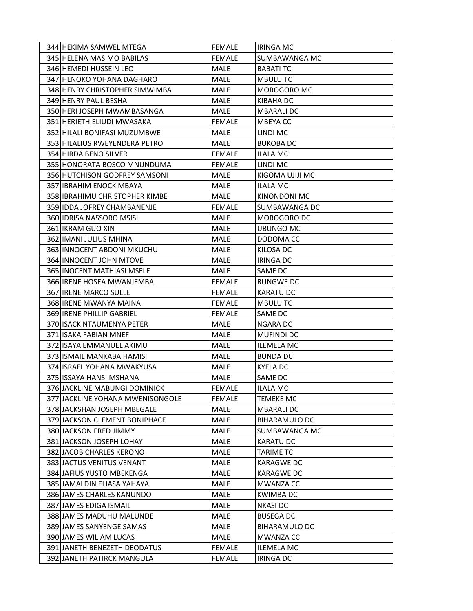| 344 HEKIMA SAMWEL MTEGA           | FEMALE        | <b>IRINGA MC</b>     |
|-----------------------------------|---------------|----------------------|
| 345 HELENA MASIMO BABILAS         | <b>FEMALE</b> | <b>SUMBAWANGA MC</b> |
| 346 HEMEDI HUSSEIN LEO            | <b>MALE</b>   | <b>BABATI TC</b>     |
| 347 HENOKO YOHANA DAGHARO         | <b>MALE</b>   | <b>MBULUTC</b>       |
| 348 HENRY CHRISTOPHER SIMWIMBA    | MALE          | MOROGORO MC          |
| 349 HENRY PAUL BESHA              | <b>MALE</b>   | <b>KIBAHA DC</b>     |
| 350 HERI JOSEPH MWAMBASANGA       | <b>MALE</b>   | <b>MBARALI DC</b>    |
| 351 HERIETH ELIUDI MWASAKA        | <b>FEMALE</b> | MBEYA CC             |
| 352 HILALI BONIFASI MUZUMBWE      | <b>MALE</b>   | LINDI MC             |
| 353 HILALIUS RWEYENDERA PETRO     | MALE          | <b>BUKOBA DC</b>     |
| 354 HIRDA BENO SILVER             | <b>FEMALE</b> | <b>ILALA MC</b>      |
| 355 HONORATA BOSCO MNUNDUMA       | <b>FEMALE</b> | LINDI MC             |
| 356 HUTCHISON GODFREY SAMSONI     | <b>MALE</b>   | KIGOMA UJIJI MC      |
| 357 IBRAHIM ENOCK MBAYA           | <b>MALE</b>   | <b>ILALA MC</b>      |
| 358 IBRAHIMU CHRISTOPHER KIMBE    | MALE          | KINONDONI MC         |
| 359 IDDA JOFREY CHAMBANENJE       | <b>FEMALE</b> | <b>SUMBAWANGA DC</b> |
| 360 IDRISA NASSORO MSISI          | <b>MALE</b>   | <b>MOROGORO DC</b>   |
| 361 IKRAM GUO XIN                 | MALE          | UBUNGO MC            |
| 362 IMANI JULIUS MHINA            | <b>MALE</b>   | DODOMA CC            |
| 363 IINNOCENT ABDONI MKUCHU       | MALE          | <b>KILOSA DC</b>     |
| 364 INNOCENT JOHN MTOVE           | MALE          | <b>IRINGA DC</b>     |
| 365 INOCENT MATHIASI MSELE        | MALE          | SAME DC              |
| 366 IRENE HOSEA MWANJEMBA         | <b>FEMALE</b> | <b>RUNGWE DC</b>     |
| 367 <b>IRENE MARCO SULLE</b>      | <b>FEMALE</b> | <b>KARATU DC</b>     |
| 368 IRENE MWANYA MAINA            | <b>FEMALE</b> | <b>MBULUTC</b>       |
| 369 IRENE PHILLIP GABRIEL         | <b>FEMALE</b> | SAME DC              |
| 370 ISACK NTAUMENYA PETER         | <b>MALE</b>   | <b>NGARA DC</b>      |
| 371 ISAKA FABIAN MNEFI            | MALE          | <b>MUFINDI DC</b>    |
| 372 ISAYA EMMANUEL AKIMU          | <b>MALE</b>   | <b>ILEMELA MC</b>    |
| 373 ISMAIL MANKABA HAMISI         | <b>MALE</b>   | <b>BUNDA DC</b>      |
| 374 ISRAEL YOHANA MWAKYUSA        | <b>MALE</b>   | <b>KYELA DC</b>      |
| 375 ISSAYA HANSI MSHANA           | <b>MALE</b>   | SAME DC              |
| 376 JACKLINE MABUNGI DOMINICK     | FEMALE        | <b>ILALA MC</b>      |
| 377 JJACKLINE YOHANA MWENISONGOLE | <b>FEMALE</b> | <b>TEMEKE MC</b>     |
| 378 JACKSHAN JOSEPH MBEGALE       | <b>MALE</b>   | <b>MBARALI DC</b>    |
| 379 JACKSON CLEMENT BONIPHACE     | <b>MALE</b>   | <b>BIHARAMULO DC</b> |
| 380 JACKSON FRED JIMMY            | <b>MALE</b>   | SUMBAWANGA MC        |
| 381 JACKSON JOSEPH LOHAY          | MALE          | <b>KARATU DC</b>     |
| 382 JACOB CHARLES KERONO          | <b>MALE</b>   | <b>TARIME TC</b>     |
| 383 JJACTUS VENITUS VENANT        | <b>MALE</b>   | <b>KARAGWE DC</b>    |
| 384 JAFIUS YUSTO MBEKENGA         | MALE          | <b>KARAGWE DC</b>    |
| 385 JAMALDIN ELIASA YAHAYA        | MALE          | <b>MWANZA CC</b>     |
| 386 JAMES CHARLES KANUNDO         | MALE          | <b>KWIMBA DC</b>     |
| 387 JAMES EDIGA ISMAIL            | <b>MALE</b>   | <b>NKASI DC</b>      |
| 388 JAMES MADUHU MALUNDE          | MALE          | <b>BUSEGA DC</b>     |
| 389 JAMES SANYENGE SAMAS          | MALE          | <b>BIHARAMULO DC</b> |
| 390 JAMES WILIAM LUCAS            | <b>MALE</b>   | <b>MWANZA CC</b>     |
| 391 JANETH BENEZETH DEODATUS      | <b>FEMALE</b> | <b>ILEMELA MC</b>    |
| 392 JANETH PATIRCK MANGULA        | <b>FEMALE</b> | <b>IRINGA DC</b>     |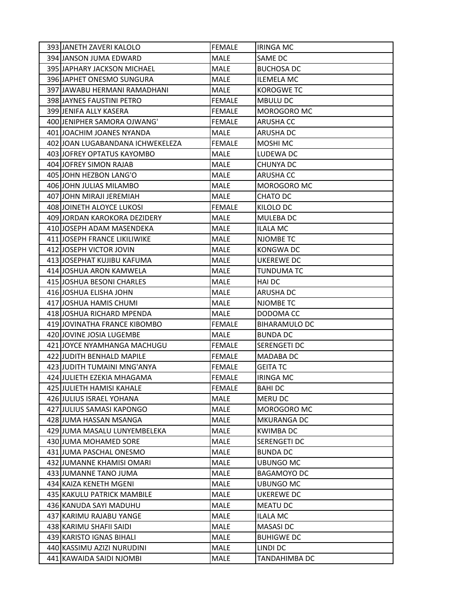| 393 JANETH ZAVERI KALOLO         | <b>FEMALE</b> | <b>IRINGA MC</b>     |
|----------------------------------|---------------|----------------------|
| 394 JANSON JUMA EDWARD           | <b>MALE</b>   | <b>SAME DC</b>       |
| 395 JAPHARY JACKSON MICHAEL      | MALE          | <b>BUCHOSA DC</b>    |
| 396 JAPHET ONESMO SUNGURA        | <b>MALE</b>   | <b>ILEMELA MC</b>    |
| 397 JAWABU HERMANI RAMADHANI     | MALE          | <b>KOROGWE TC</b>    |
| 398 JAYNES FAUSTINI PETRO        | <b>FEMALE</b> | <b>MBULU DC</b>      |
| 399 JENIFA ALLY KASERA           | <b>FEMALE</b> | MOROGORO MC          |
| 400 JENIPHER SAMORA OJWANG'      | <b>FEMALE</b> | <b>ARUSHA CC</b>     |
| 401 JOACHIM JOANES NYANDA        | <b>MALE</b>   | <b>ARUSHA DC</b>     |
| 402 JOAN LUGABANDANA ICHWEKELEZA | <b>FEMALE</b> | <b>MOSHI MC</b>      |
| 403 JOFREY OPTATUS KAYOMBO       | <b>MALE</b>   | LUDEWA DC            |
| 404 JOFREY SIMON RAJAB           | <b>MALE</b>   | <b>CHUNYA DC</b>     |
| 405 JOHN HEZBON LANG'O           | <b>MALE</b>   | ARUSHA CC            |
| 406 JOHN JULIAS MILAMBO          | <b>MALE</b>   | MOROGORO MC          |
| 407 JOHN MIRAJI JEREMIAH         | MALE          | CHATO DC             |
| 408 JOINETH ALOYCE LUKOSI        | <b>FEMALE</b> | <b>KILOLO DC</b>     |
| 409 JORDAN KAROKORA DEZIDERY     | <b>MALE</b>   | <b>MULEBA DC</b>     |
| 410 JOSEPH ADAM MASENDEKA        | <b>MALE</b>   | <b>ILALA MC</b>      |
| 411 JOSEPH FRANCE LIKILIWIKE     | <b>MALE</b>   | <b>NJOMBE TC</b>     |
| 412 JOSEPH VICTOR JOVIN          | <b>MALE</b>   | <b>KONGWA DC</b>     |
| 413 JOSEPHAT KUJIBU KAFUMA       | <b>MALE</b>   | <b>UKEREWE DC</b>    |
| 414 JOSHUA ARON KAMWELA          | <b>MALE</b>   | TUNDUMA TC           |
| 415 JOSHUA BESONI CHARLES        | <b>MALE</b>   | <b>HAI DC</b>        |
| 416 JOSHUA ELISHA JOHN           | <b>MALE</b>   | <b>ARUSHA DC</b>     |
| 417 JOSHUA HAMIS CHUMI           | MALE          | NJOMBE TC            |
| 418 JOSHUA RICHARD MPENDA        | <b>MALE</b>   | DODOMA CC            |
| 419 JOVINATHA FRANCE KIBOMBO     | <b>FEMALE</b> | <b>BIHARAMULO DC</b> |
| 420 JOVINE JOSIA LUGEMBE         | MALE          | <b>BUNDA DC</b>      |
| 421 JOYCE NYAMHANGA MACHUGU      | <b>FEMALE</b> | <b>SERENGETI DC</b>  |
| 422 JUDITH BENHALD MAPILE        | <b>FEMALE</b> | <b>MADABA DC</b>     |
| 423 JUDITH TUMAINI MNG'ANYA      | <b>FEMALE</b> | <b>GEITA TC</b>      |
| 424 JULIETH EZEKIA MHAGAMA       | <b>FEMALE</b> | <b>IRINGA MC</b>     |
| 425 JULIETH HAMISI KAHALE        | <b>FEMALE</b> | <b>BAHIDC</b>        |
| 426 JULIUS ISRAEL YOHANA         | MALE          | MERU DC              |
| 427 JULIUS SAMASI KAPONGO        | MALE          | <b>MOROGORO MC</b>   |
| 428 JUMA HASSAN MSANGA           | MALE          | <b>MKURANGA DC</b>   |
| 429 JUMA MASALU LUNYEMBELEKA     | MALE          | <b>KWIMBADC</b>      |
| 430 JUMA MOHAMED SORE            | MALE          | <b>SERENGETI DC</b>  |
| 431 JUMA PASCHAL ONESMO          | MALE          | <b>BUNDA DC</b>      |
| 432 JUMANNE KHAMISI OMARI        | MALE          | <b>UBUNGO MC</b>     |
| 433 JUMANNE TANO JUMA            | MALE          | <b>BAGAMOYO DC</b>   |
| 434 KAIZA KENETH MGENI           | <b>MALE</b>   | <b>UBUNGO MC</b>     |
| 435 KAKULU PATRICK MAMBILE       | MALE          | UKEREWE DC           |
| 436 KANUDA SAYI MADUHU           | MALE          | <b>MEATU DC</b>      |
| 437 KARIMU RAJABU YANGE          | MALE          | <b>ILALA MC</b>      |
| 438 KARIMU SHAFII SAIDI          | MALE          | <b>MASASIDC</b>      |
| 439 KARISTO IGNAS BIHALI         | MALE          | <b>BUHIGWE DC</b>    |
| 440 KASSIMU AZIZI NURUDINI       | <b>MALE</b>   | LINDI DC             |
| 441 KAWAIDA SAIDI NJOMBI         | MALE          | TANDAHIMBA DC        |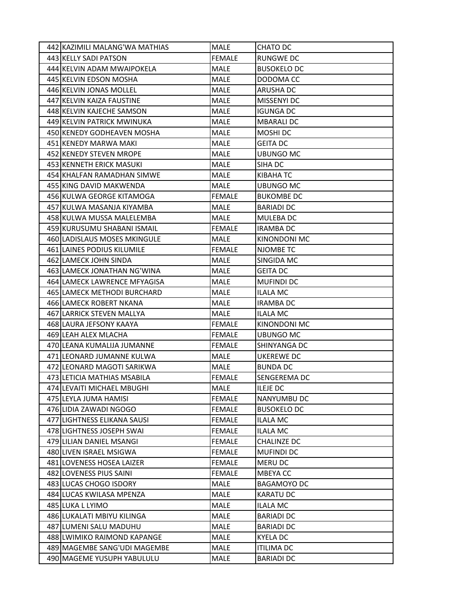| 442 KAZIMILI MALANG'WA MATHIAS | MALE          | CHATO DC           |
|--------------------------------|---------------|--------------------|
| 443 KELLY SADI PATSON          | <b>FEMALE</b> | <b>RUNGWE DC</b>   |
| 444 KELVIN ADAM MWAIPOKELA     | <b>MALE</b>   | <b>BUSOKELO DC</b> |
| 445 KELVIN EDSON MOSHA         | <b>MALE</b>   | DODOMA CC          |
| 446 KELVIN JONAS MOLLEL        | <b>MALE</b>   | <b>ARUSHA DC</b>   |
| 447 KELVIN KAIZA FAUSTINE      | <b>MALE</b>   | MISSENYI DC        |
| 448 KELVIN KAJECHE SAMSON      | MALE          | <b>IGUNGA DC</b>   |
| 449 KELVIN PATRICK MWINUKA     | <b>MALE</b>   | <b>MBARALI DC</b>  |
| 450 KENEDY GODHEAVEN MOSHA     | MALE          | MOSHI DC           |
| 451 KENEDY MARWA MAKI          | MALE          | <b>GEITA DC</b>    |
| 452 KENEDY STEVEN MROPE        | <b>MALE</b>   | UBUNGO MC          |
| 453 KENNETH ERICK MASUKI       | <b>MALE</b>   | SIHA DC            |
| 454 KHALFAN RAMADHAN SIMWE     | <b>MALE</b>   | KIBAHA TC          |
| 455 KING DAVID MAKWENDA        | <b>MALE</b>   | <b>UBUNGO MC</b>   |
| 456 KULWA GEORGE KITAMOGA      | <b>FEMALE</b> | <b>BUKOMBE DC</b>  |
| 457 KULWA MASANJA KIYAMBA      | <b>MALE</b>   | <b>BARIADI DC</b>  |
| 458 KULWA MUSSA MALELEMBA      | MALE          | MULEBA DC          |
| 459 KURUSUMU SHABANI ISMAIL    | <b>FEMALE</b> | <b>IRAMBA DC</b>   |
| 460 LADISLAUS MOSES MKINGULE   | <b>MALE</b>   | KINONDONI MC       |
| 461 LAINES PODIUS KILUMILE     | <b>FEMALE</b> | NJOMBE TC          |
| 462 ILAMECK JOHN SINDA         | MALE          | SINGIDA MC         |
| 463 LAMECK JONATHAN NG'WINA    | MALE          | <b>GEITA DC</b>    |
| 464 LAMECK LAWRENCE MFYAGISA   | <b>MALE</b>   | <b>MUFINDI DC</b>  |
| 465 LAMECK METHODI BURCHARD    | <b>MALE</b>   | <b>ILALA MC</b>    |
| 466 LAMECK ROBERT NKANA        | MALE          | <b>IRAMBA DC</b>   |
| 467 LARRICK STEVEN MALLYA      | MALE          | <b>ILALA MC</b>    |
| 468 LAURA JEFSONY KAAYA        | <b>FEMALE</b> | KINONDONI MC       |
| 469 LEAH ALEX MLACHA           | <b>FEMALE</b> | UBUNGO MC          |
| 470 LEANA KUMALIJA JUMANNE     | <b>FEMALE</b> | SHINYANGA DC       |
| 471 LEONARD JUMANNE KULWA      | <b>MALE</b>   | UKEREWE DC         |
| 472 LEONARD MAGOTI SARIKWA     | MALE          | <b>BUNDA DC</b>    |
| 473 LETICIA MATHIAS MSABILA    | <b>FEMALE</b> | SENGEREMA DC       |
| 474 LEVAITI MICHAEL MBUGHI     | MALE          | <b>ILEJE DC</b>    |
| 475 LEYLA JUMA HAMISI          | FEMALE        | NANYUMBU DC        |
| 476 LIDIA ZAWADI NGOGO         | <b>FEMALE</b> | <b>BUSOKELO DC</b> |
| 477 LIGHTNESS ELIKANA SAUSI    | <b>FEMALE</b> | ILALA MC           |
| 478 LIGHTNESS JOSEPH SWAI      | FEMALE        | <b>ILALA MC</b>    |
| 479 LILIAN DANIEL MSANGI       | <b>FEMALE</b> | <b>CHALINZE DC</b> |
| 480 LIVEN ISRAEL MSIGWA        | <b>FEMALE</b> | <b>MUFINDI DC</b>  |
| 481 LOVENESS HOSEA LAIZER      | <b>FEMALE</b> | MERU DC            |
| 482 LOVENESS PIUS SAINI        | <b>FEMALE</b> | MBEYA CC           |
| 483 LUCAS CHOGO ISDORY         | MALE          | <b>BAGAMOYO DC</b> |
| 484 LUCAS KWILASA MPENZA       | MALE          | <b>KARATU DC</b>   |
| 485 LUKA L LYIMO               | MALE          | <b>ILALA MC</b>    |
| 486 LUKALATI MBIYU KILINGA     | <b>MALE</b>   | <b>BARIADI DC</b>  |
| 487 LUMENI SALU MADUHU         | MALE          | <b>BARIADI DC</b>  |
| 488 LWIMIKO RAIMOND KAPANGE    | MALE          | KYELA DC           |
| 489 MAGEMBE SANG'UDI MAGEMBE   | MALE          | <b>ITILIMA DC</b>  |
| 490 MAGEME YUSUPH YABULULU     | MALE          | <b>BARIADI DC</b>  |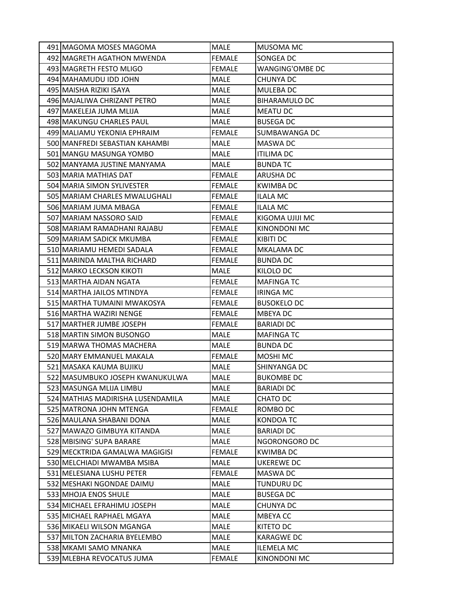| 491 MAGOMA MOSES MAGOMA           | <b>MALE</b>   | <b>MUSOMA MC</b>       |
|-----------------------------------|---------------|------------------------|
| 492 MAGRETH AGATHON MWENDA        | <b>FEMALE</b> | <b>SONGEA DC</b>       |
| 493 MAGRETH FESTO MLIGO           | <b>FEMALE</b> | <b>WANGING'OMBE DC</b> |
| 494 MAHAMUDU IDD JOHN             | <b>MALE</b>   | CHUNYA DC              |
| 495 MAISHA RIZIKI ISAYA           | <b>MALE</b>   | <b>MULEBADC</b>        |
| 496 MAJALIWA CHRIZANT PETRO       | <b>MALE</b>   | <b>BIHARAMULO DC</b>   |
| 497 MAKELEJA JUMA MLIJA           | <b>MALE</b>   | <b>MEATU DC</b>        |
| 498 MAKUNGU CHARLES PAUL          | <b>MALE</b>   | <b>BUSEGA DC</b>       |
| 499 MALIAMU YEKONIA EPHRAIM       | <b>FEMALE</b> | <b>SUMBAWANGA DC</b>   |
| 500 MANFREDI SEBASTIAN KAHAMBI    | <b>MALE</b>   | <b>MASWA DC</b>        |
| 501 MANGU MASUNGA YOMBO           | MALE          | <b>ITILIMA DC</b>      |
| 502 MANYAMA JUSTINE MANYAMA       | <b>MALE</b>   | <b>BUNDA TC</b>        |
| 503 MARIA MATHIAS DAT             | <b>FEMALE</b> | ARUSHA DC              |
| 504 MARIA SIMON SYLIVESTER        | <b>FEMALE</b> | <b>KWIMBADC</b>        |
| 505 MARIAM CHARLES MWALUGHALI     | <b>FEMALE</b> | <b>ILALA MC</b>        |
| 506 MARIAM JUMA MBAGA             | <b>FEMALE</b> | ILALA MC               |
| 507 MARIAM NASSORO SAID           | <b>FEMALE</b> | KIGOMA UJIJI MC        |
| 508 MARIAM RAMADHANI RAJABU       | <b>FEMALE</b> | KINONDONI MC           |
| 509 MARIAM SADICK MKUMBA          | <b>FEMALE</b> | <b>KIBITI DC</b>       |
| 510 MARIAMU HEMEDI SADALA         | <b>FEMALE</b> | <b>MKALAMA DC</b>      |
| 511   MARINDA MALTHA RICHARD      | <b>FEMALE</b> | BUNDA DC               |
| 512 MARKO LECKSON KIKOTI          | MALE          | KILOLO DC              |
| 513 MARTHA AIDAN NGATA            | <b>FEMALE</b> | <b>MAFINGATC</b>       |
| 514 MARTHA JAILOS MTINDYA         | <b>FEMALE</b> | <b>IRINGA MC</b>       |
| 515 MARTHA TUMAINI MWAKOSYA       | <b>FEMALE</b> | <b>BUSOKELO DC</b>     |
| 516 MARTHA WAZIRI NENGE           | <b>FEMALE</b> | <b>MBEYADC</b>         |
| 517 MARTHER JUMBE JOSEPH          | <b>FEMALE</b> | <b>BARIADI DC</b>      |
| 518 MARTIN SIMON BUSONGO          | MALE          | <b>MAFINGA TC</b>      |
| 519 MARWA THOMAS MACHERA          | MALE          | <b>BUNDA DC</b>        |
| 520 MARY EMMANUEL MAKALA          | <b>FEMALE</b> | <b>MOSHI MC</b>        |
| 521 MASAKA KAUMA BUJIKU           | MALE          | SHINYANGA DC           |
| 522 MASUMBUKO JOSEPH KWANUKULWA   | <b>MALE</b>   | <b>BUKOMBE DC</b>      |
| 523 MASUNGA MLIJA LIMBU           | MALE          | <b>BARIADI DC</b>      |
| 524 MATHIAS MADIRISHA LUSENDAMILA | MALE          | CHATO DC               |
| 525 MATRONA JOHN MTENGA           | <b>FEMALE</b> | ROMBO DC               |
| 526 MAULANA SHABANI DONA          | MALE          | <b>KONDOA TC</b>       |
| 527 MAWAZO GIMBUYA KITANDA        | MALE          | <b>BARIADI DC</b>      |
| 528 MBISING' SUPA BARARE          | MALE          | NGORONGORO DC          |
| 529 MECKTRIDA GAMALWA MAGIGISI    | <b>FEMALE</b> | <b>KWIMBA DC</b>       |
| 530 MELCHIADI MWAMBA MSIBA        | <b>MALE</b>   | UKEREWE DC             |
| 531 MELESIANA LUSHU PETER         | <b>FEMALE</b> | <b>MASWA DC</b>        |
| 532 MESHAKI NGONDAE DAIMU         | <b>MALE</b>   | <b>TUNDURU DC</b>      |
| 533 MHOJA ENOS SHULE              | MALE          | <b>BUSEGA DC</b>       |
| 534 MICHAEL EFRAHIMU JOSEPH       | MALE          | <b>CHUNYA DC</b>       |
| 535 MICHAEL RAPHAEL MGAYA         | MALE          | <b>MBEYACC</b>         |
| 536 MIKAELI WILSON MGANGA         | MALE          | KITETO DC              |
| 537 MILTON ZACHARIA BYELEMBO      | MALE          | <b>KARAGWE DC</b>      |
| 538 MKAMI SAMO MNANKA             | MALE          | <b>ILEMELA MC</b>      |
| 539 MLEBHA REVOCATUS JUMA         | <b>FEMALE</b> | <b>KINONDONI MC</b>    |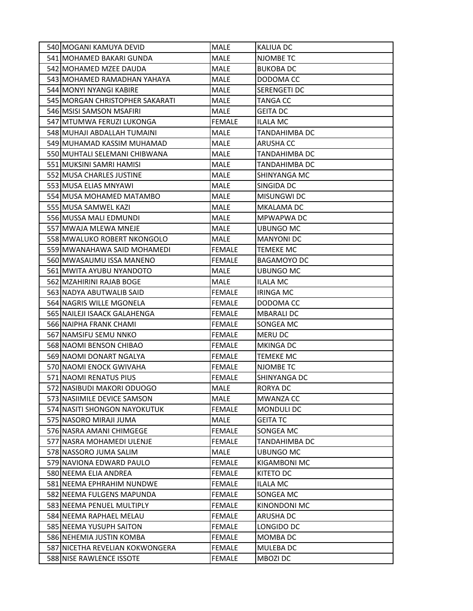| 540 MOGANI KAMUYA DEVID          | MALE          | KALIUA DC            |
|----------------------------------|---------------|----------------------|
| 541 MOHAMED BAKARI GUNDA         | <b>MALE</b>   | <b>NJOMBE TC</b>     |
| 542 MOHAMED MZEE DAUDA           | <b>MALE</b>   | <b>BUKOBA DC</b>     |
| 543 MOHAMED RAMADHAN YAHAYA      | <b>MALE</b>   | DODOMA CC            |
| 544 MONYI NYANGI KABIRE          | MALE          | <b>SERENGETI DC</b>  |
| 545 MORGAN CHRISTOPHER SAKARATI  | <b>MALE</b>   | <b>TANGA CC</b>      |
| 546 MSISI SAMSON MSAFIRI         | <b>MALE</b>   | <b>GEITA DC</b>      |
| 547 MTUMWA FERUZI LUKONGA        | <b>FEMALE</b> | <b>ILALA MC</b>      |
| 548 MUHAJI ABDALLAH TUMAINI      | <b>MALE</b>   | <b>TANDAHIMBA DC</b> |
| 549 MUHAMAD KASSIM MUHAMAD       | MALE          | <b>ARUSHA CC</b>     |
| 550 MUHTALI SELEMANI CHIBWANA    | <b>MALE</b>   | TANDAHIMBA DC        |
| 551 MUKSINI SAMRI HAMISI         | <b>MALE</b>   | TANDAHIMBA DC        |
| 552 MUSA CHARLES JUSTINE         | MALE          | <b>SHINYANGA MC</b>  |
| 553 MUSA ELIAS MNYAWI            | <b>MALE</b>   | SINGIDA DC           |
| 554 MUSA MOHAMED MATAMBO         | MALE          | <b>MISUNGWI DC</b>   |
| 555 MUSA SAMWEL KAZI             | <b>MALE</b>   | <b>MKALAMA DC</b>    |
| 556 MUSSA MALI EDMUNDI           | <b>MALE</b>   | <b>MPWAPWA DC</b>    |
| 557 MWAJA MLEWA MNEJE            | MALE          | UBUNGO MC            |
| 558 MWALUKO ROBERT NKONGOLO      | <b>MALE</b>   | <b>MANYONI DC</b>    |
| 559 MWANAHAWA SAID MOHAMEDI      | <b>FEMALE</b> | <b>TEMEKE MC</b>     |
| 560 MWASAUMU ISSA MANENO         | <b>FEMALE</b> | <b>BAGAMOYO DC</b>   |
| 561 MWITA AYUBU NYANDOTO         | MALE          | <b>UBUNGO MC</b>     |
| 562 MZAHIRINI RAJAB BOGE         | MALE          | ILALA MC             |
| 563 NADYA ABUTWALIB SAID         | <b>FEMALE</b> | <b>IRINGA MC</b>     |
| 564 NAGRIS WILLE MGONELA         | <b>FEMALE</b> | DODOMA CC            |
| 565 NAILEJI ISAACK GALAHENGA     | <b>FEMALE</b> | <b>MBARALIDC</b>     |
| 566 NAIPHA FRANK CHAMI           | <b>FEMALE</b> | SONGEA MC            |
| 567 NAMSIFU SEMU NNKO            | <b>FEMALE</b> | <b>MERU DC</b>       |
| 568 NAOMI BENSON CHIBAO          | <b>FEMALE</b> | <b>MKINGA DC</b>     |
| 569 NAOMI DONART NGALYA          | <b>FEMALE</b> | <b>TEMEKE MC</b>     |
| 570 NAOMI ENOCK GWIVAHA          | <b>FEMALE</b> | NJOMBE TC            |
| 571 NAOMI RENATUS PIUS           | <b>FEMALE</b> | SHINYANGA DC         |
| 572 NASIBUDI MAKORI ODUOGO       | MALE          | <b>RORYA DC</b>      |
| 573 NASIIMILE DEVICE SAMSON      | MALE          | <b>MWANZA CC</b>     |
| 574 NASITI SHONGON NAYOKUTUK     | <b>FEMALE</b> | <b>MONDULI DC</b>    |
| 575 NASORO MIRAJI JUMA           | <b>MALE</b>   | <b>GEITA TC</b>      |
| 576 NASRA AMANI CHIMGEGE         | <b>FEMALE</b> | SONGEA MC            |
| 577 NASRA MOHAMEDI ULENJE        | <b>FEMALE</b> | TANDAHIMBA DC        |
| 578 NASSORO JUMA SALIM           | MALE          | <b>UBUNGO MC</b>     |
| 579 NAVIONA EDWARD PAULO         | <b>FEMALE</b> | KIGAMBONI MC         |
| 580 NEEMA ELIA ANDREA            | <b>FEMALE</b> | KITETO DC            |
| 581 NEEMA EPHRAHIM NUNDWE        | <b>FEMALE</b> | <b>ILALA MC</b>      |
| 582 NEEMA FULGENS MAPUNDA        | <b>FEMALE</b> | SONGEA MC            |
| 583 NEEMA PENUEL MULTIPLY        | <b>FEMALE</b> | <b>KINONDONI MC</b>  |
| 584 NEEMA RAPHAEL MELAU          | <b>FEMALE</b> | <b>ARUSHA DC</b>     |
| 585 NEEMA YUSUPH SAITON          | <b>FEMALE</b> | LONGIDO DC           |
| 586 NEHEMIA JUSTIN KOMBA         | <b>FEMALE</b> | MOMBA DC             |
| 587 INICETHA REVELIAN KOKWONGERA | <b>FEMALE</b> | <b>MULEBA DC</b>     |
| 588 NISE RAWLENCE ISSOTE         | FEMALE        | <b>MBOZIDC</b>       |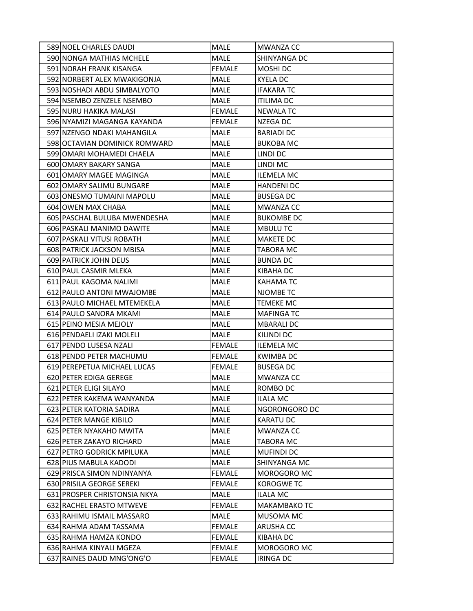| 589 NOEL CHARLES DAUDI          | <b>MALE</b>   | <b>MWANZA CC</b>    |
|---------------------------------|---------------|---------------------|
| 590 NONGA MATHIAS MCHELE        | <b>MALE</b>   | SHINYANGA DC        |
| 591 NORAH FRANK KISANGA         | <b>FEMALE</b> | MOSHI DC            |
| 592 NORBERT ALEX MWAKIGONJA     | <b>MALE</b>   | <b>KYELA DC</b>     |
| 593 NOSHADI ABDU SIMBALYOTO     | MALE          | <b>IFAKARATC</b>    |
| 594 NSEMBO ZENZELE NSEMBO       | <b>MALE</b>   | <b>ITILIMA DC</b>   |
| 595 NURU HAKIKA MALASI          | <b>FEMALE</b> | <b>NEWALA TC</b>    |
| 596 NYAMIZI MAGANGA KAYANDA     | <b>FEMALE</b> | NZEGA DC            |
| 597 NZENGO NDAKI MAHANGILA      | <b>MALE</b>   | <b>BARIADI DC</b>   |
| 598 OCTAVIAN DOMINICK ROMWARD   | MALE          | <b>BUKOBA MC</b>    |
| 599 JOMARI MOHAMEDI CHAELA      | <b>MALE</b>   | LINDI DC            |
| 600 OMARY BAKARY SANGA          | <b>MALE</b>   | LINDI MC            |
| 601 OMARY MAGEE MAGINGA         | MALE          | <b>ILEMELA MC</b>   |
| 602 OMARY SALIMU BUNGARE        | <b>MALE</b>   | <b>HANDENI DC</b>   |
| 603 ONESMO TUMAINI MAPOLU       | MALE          | <b>BUSEGA DC</b>    |
| 604 OWEN MAX CHABA              | <b>MALE</b>   | <b>MWANZA CC</b>    |
| 605 PASCHAL BULUBA MWENDESHA    | <b>MALE</b>   | <b>BUKOMBE DC</b>   |
| 606 PASKALI MANIMO DAWITE       | <b>MALE</b>   | <b>MBULUTC</b>      |
| 607 PASKALI VITUSI ROBATH       | <b>MALE</b>   | <b>MAKETE DC</b>    |
| 608 PATRICK JACKSON MBISA       | <b>MALE</b>   | <b>TABORA MC</b>    |
| 609 PATRICK JOHN DEUS           | <b>MALE</b>   | <b>BUNDA DC</b>     |
| 610 PAUL CASMIR MLEKA           | <b>MALE</b>   | KIBAHA DC           |
| 611 PAUL KAGOMA NALIMI          | <b>MALE</b>   | <b>KAHAMATC</b>     |
| 612 PAULO ANTONI MWAJOMBE       | MALE          | NJOMBE TC           |
| 613 PAULO MICHAEL MTEMEKELA     | MALE          | <b>TEMEKE MC</b>    |
| 614 PAULO SANORA MKAMI          | <b>MALE</b>   | <b>MAFINGA TC</b>   |
| 615 PEINO MESIA MEJOLY          | <b>MALE</b>   | <b>MBARALI DC</b>   |
| 616 PENDAELI IZAKI MOLELI       | MALE          | KILINDI DC          |
| 617 PENDO LUSESA NZALI          | <b>FEMALE</b> | <b>ILEMELA MC</b>   |
| 618 PENDO PETER MACHUMU         | <b>FEMALE</b> | <b>KWIMBADC</b>     |
| 619 PEREPETUA MICHAEL LUCAS     | <b>FEMALE</b> | <b>BUSEGA DC</b>    |
| 620 PETER EDIGA GEREGE          | <b>MALE</b>   | <b>MWANZA CC</b>    |
| 621 PETER ELIGI SILAYO          | MALE          | ROMBO DC            |
| 622 PETER KAKEMA WANYANDA       | MALE          | <b>ILALA MC</b>     |
| 623 PETER KATORIA SADIRA        | <b>MALE</b>   | NGORONGORO DC       |
| 624 PETER MANGE KIBILO          | MALE          | <b>KARATU DC</b>    |
| <b>625 IPETER NYAKAHO MWITA</b> | MALE          | <b>MWANZA CC</b>    |
| 626 PETER ZAKAYO RICHARD        | MALE          | TABORA MC           |
| 627 PETRO GODRICK MPILUKA       | MALE          | <b>MUFINDI DC</b>   |
| 628 PIUS MABULA KADODI          | MALE          | ISHINYANGA MC       |
| 629 PRISCA SIMON NDINYANYA      | <b>FEMALE</b> | MOROGORO MC         |
| 630 PRISILA GEORGE SEREKI       | <b>FEMALE</b> | <b>KOROGWE TC</b>   |
| 631 PROSPER CHRISTONSIA NKYA    | MALE          | <b>ILALA MC</b>     |
| 632 RACHEL ERASTO MTWEVE        | <b>FEMALE</b> | <b>MAKAMBAKO TC</b> |
| 633 RAHIMU ISMAIL MASSARO       | MALE          | MUSOMA MC           |
| 634 RAHMA ADAM TASSAMA          | <b>FEMALE</b> | <b>ARUSHA CC</b>    |
| 635 RAHMA HAMZA KONDO           | <b>FEMALE</b> | KIBAHA DC           |
| 636 RAHMA KINYALI MGEZA         | <b>FEMALE</b> | <b>MOROGORO MC</b>  |
| 637 RAINES DAUD MNG'ONG'O       | FEMALE        | <b>IRINGA DC</b>    |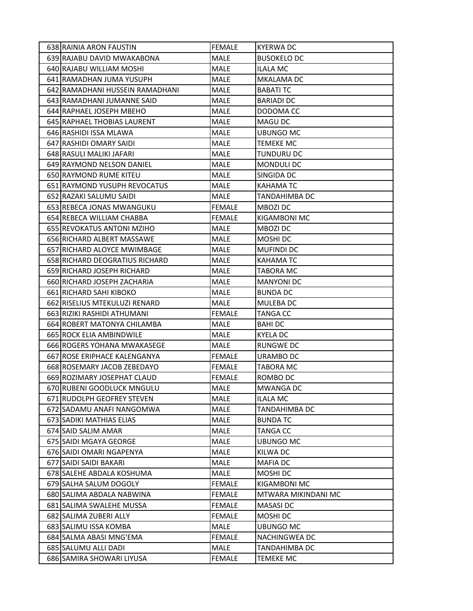| 638 RAINIA ARON FAUSTIN            | <b>FEMALE</b> | <b>KYERWA DC</b>     |
|------------------------------------|---------------|----------------------|
| 639 RAJABU DAVID MWAKABONA         | <b>MALE</b>   | <b>BUSOKELO DC</b>   |
| 640 RAJABU WILLIAM MOSHI           | MALE          | ILALA MC             |
| 641 RAMADHAN JUMA YUSUPH           | <b>MALE</b>   | MKALAMA DC           |
| 642 RAMADHANI HUSSEIN RAMADHANI    | <b>MALE</b>   | <b>BABATI TC</b>     |
| 643 RAMADHANI JUMANNE SAID         | <b>MALE</b>   | <b>BARIADI DC</b>    |
| 644 RAPHAEL JOSEPH MBEHO           | <b>MALE</b>   | DODOMA CC            |
| <b>645 RAPHAEL THOBIAS LAURENT</b> | MALE          | <b>MAGU DC</b>       |
| 646 RASHIDI ISSA MLAWA             | <b>MALE</b>   | <b>UBUNGO MC</b>     |
| 647 RASHIDI OMARY SAIDI            | MALE          | <b>TEMEKE MC</b>     |
| 648 RASULI MALIKI JAFARI           | <b>MALE</b>   | TUNDURU DC           |
| 649 RAYMOND NELSON DANIEL          | <b>MALE</b>   | MONDULI DC           |
| 650 RAYMOND RUME KITEU             | MALE          | SINGIDA DC           |
| 651 RAYMOND YUSUPH REVOCATUS       | <b>MALE</b>   | <b>KAHAMATC</b>      |
| 652 RAZAKI SALUMU SAIDI            | MALE          | TANDAHIMBA DC        |
| 653 REBECA JONAS MWANGUKU          | <b>FEMALE</b> | <b>MBOZI DC</b>      |
| 654 REBECA WILLIAM CHABBA          | <b>FEMALE</b> | <b>KIGAMBONI MC</b>  |
| 655 REVOKATUS ANTONI MZIHO         | <b>MALE</b>   | <b>MBOZI DC</b>      |
| 656 RICHARD ALBERT MASSAWE         | <b>MALE</b>   | <b>MOSHIDC</b>       |
| 657 RICHARD ALOYCE MWIMBAGE        | <b>MALE</b>   | <b>MUFINDI DC</b>    |
| 658 RICHARD DEOGRATIUS RICHARD     | <b>MALE</b>   | <b>KAHAMATC</b>      |
| 659 RICHARD JOSEPH RICHARD         | <b>MALE</b>   | TABORA MC            |
| 660 RICHARD JOSEPH ZACHARIA        | <b>MALE</b>   | <b>MANYONI DC</b>    |
| 661 RICHARD SAHI KIBOKO            | MALE          | <b>BUNDA DC</b>      |
| 662 RISELIUS MTEKULUZI RENARD      | MALE          | <b>MULEBA DC</b>     |
| 663 RIZIKI RASHIDI ATHUMANI        | <b>FEMALE</b> | <b>TANGA CC</b>      |
| 664 ROBERT MATONYA CHILAMBA        | <b>MALE</b>   | <b>BAHIDC</b>        |
| 665 ROCK ELIA AMBINDWILE           | MALE          | <b>KYELA DC</b>      |
| 666 ROGERS YOHANA MWAKASEGE        | MALE          | <b>RUNGWE DC</b>     |
| 667 ROSE ERIPHACE KALENGANYA       | <b>FEMALE</b> | URAMBO DC            |
| 668 ROSEMARY JACOB ZEBEDAYO        | <b>FEMALE</b> | <b>TABORA MC</b>     |
| 669 ROZIMARY JOSEPHAT CLAUD        | <b>FEMALE</b> | ROMBO DC             |
| 670 RUBENI GOODLUCK MNGULU         | MALE          | <b>MWANGA DC</b>     |
| 671 RUDOLPH GEOFREY STEVEN         | MALE          | <b>ILALA MC</b>      |
| 672 SADAMU ANAFI NANGOMWA          | <b>MALE</b>   | <b>TANDAHIMBA DC</b> |
| 673 SADIKI MATHIAS ELIAS           | MALE          | <b>BUNDA TC</b>      |
| 674 SAID SALIM AMAR                | MALE          | TANGA CC             |
| 675 SAIDI MGAYA GEORGE             | MALE          | <b>UBUNGO MC</b>     |
| 676 SAIDI OMARI NGAPENYA           | MALE          | KILWA DC             |
| 677 SAIDI SAIDI BAKARI             | MALE          | <b>MAFIA DC</b>      |
| 678 SALEHE ABDALA KOSHUMA          | MALE          | MOSHI DC             |
| 679 SALHA SALUM DOGOLY             | <b>FEMALE</b> | KIGAMBONI MC         |
| 680 SALIMA ABDALA NABWINA          | <b>FEMALE</b> | MTWARA MIKINDANI MC  |
| 681 SALIMA SWALEHE MUSSA           | <b>FEMALE</b> | <b>MASASIDC</b>      |
| 682 SALIMA ZUBERI ALLY             | <b>FEMALE</b> | MOSHI DC             |
| 683 SALIMU ISSA KOMBA              | MALE          | <b>UBUNGO MC</b>     |
| 684 SALMA ABASI MNG'EMA            | <b>FEMALE</b> | NACHINGWEA DC        |
| 685 SALUMU ALLI DADI               | MALE          | TANDAHIMBA DC        |
| 686 SAMIRA SHOWARI LIYUSA          | <b>FEMALE</b> | TEMEKE MC            |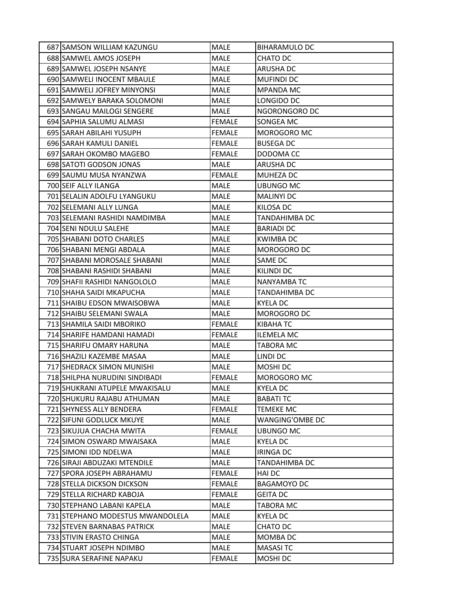| 687 SAMSON WILLIAM KAZUNGU       | MALE          | <b>BIHARAMULO DC</b> |
|----------------------------------|---------------|----------------------|
| 688 SAMWEL AMOS JOSEPH           | <b>MALE</b>   | <b>CHATO DC</b>      |
| 689 SAMWEL JOSEPH NSANYE         | <b>MALE</b>   | <b>ARUSHA DC</b>     |
| 690 SAMWELI INOCENT MBAULE       | <b>MALE</b>   | <b>MUFINDI DC</b>    |
| 691 SAMWELI JOFREY MINYONSI      | <b>MALE</b>   | <b>MPANDA MC</b>     |
| 692 SAMWELY BARAKA SOLOMONI      | <b>MALE</b>   | LONGIDO DC           |
| 693 SANGAU MAILOGI SENGERE       | MALE          | NGORONGORO DC        |
| 694 SAPHIA SALUMU ALMASI         | <b>FEMALE</b> | SONGEA MC            |
| 695 SARAH ABILAHI YUSUPH         | <b>FEMALE</b> | <b>MOROGORO MC</b>   |
| 696 SARAH KAMULI DANIEL          | <b>FEMALE</b> | <b>BUSEGA DC</b>     |
| 697 SARAH OKOMBO MAGEBO          | <b>FEMALE</b> | DODOMA CC            |
| 698 SATOTI GODSON JONAS          | <b>MALE</b>   | <b>ARUSHA DC</b>     |
| 699 SAUMU MUSA NYANZWA           | <b>FEMALE</b> | <b>MUHEZA DC</b>     |
| 700 SEIF ALLY ILANGA             | <b>MALE</b>   | UBUNGO MC            |
| 701 SELALIN ADOLFU LYANGUKU      | <b>MALE</b>   | <b>MALINYI DC</b>    |
| 702 SELEMANI ALLY LUNGA          | MALE          | KILOSA DC            |
| 703 SELEMANI RASHIDI NAMDIMBA    | <b>MALE</b>   | TANDAHIMBA DC        |
| 704 SENI NDULU SALEHE            | <b>MALE</b>   | <b>BARIADI DC</b>    |
| 705 SHABANI DOTO CHARLES         | <b>MALE</b>   | <b>KWIMBADC</b>      |
| 706 SHABANI MENGI ABDALA         | <b>MALE</b>   | MOROGORO DC          |
| 707 SHABANI MOROSALE SHABANI     | MALE          | SAME DC              |
| 708 SHABANI RASHIDI SHABANI      | <b>MALE</b>   | <b>KILINDI DC</b>    |
| 709 SHAFII RASHIDI NANGOLOLO     | <b>MALE</b>   | <b>NANYAMBA TC</b>   |
| 710 SHAHA SAIDI MKAPUCHA         | <b>MALE</b>   | TANDAHIMBA DC        |
| 711 SHAIBU EDSON MWAISOBWA       | <b>MALE</b>   | <b>KYELA DC</b>      |
| 712 SHAIBU SELEMANI SWALA        | MALE          | MOROGORO DC          |
| 713 SHAMILA SAIDI MBORIKO        | <b>FEMALE</b> | KIBAHA TC            |
| 714 SHARIFE HAMDANI HAMADI       | <b>FEMALE</b> | <b>ILEMELA MC</b>    |
| 715 SHARIFU OMARY HARUNA         | MALE          | <b>TABORA MC</b>     |
| 716 SHAZILI KAZEMBE MASAA        | <b>MALE</b>   | LINDI DC             |
| 717 SHEDRACK SIMON MUNISHI       | MALE          | MOSHI DC             |
| 718 SHILPHA NURUDINI SINDIBADI   | <b>FEMALE</b> | MOROGORO MC          |
| 719 SHUKRANI ATUPELE MWAKISALU   | MALE          | <b>KYELA DC</b>      |
| 720 SHUKURU RAJABU ATHUMAN       | MALE          | <b>BABATI TC</b>     |
| 721 SHYNESS ALLY BENDERA         | <b>FEMALE</b> | <b>TEMEKE MC</b>     |
| 722 SIFUNI GODLUCK MKUYE         | MALE          | WANGING'OMBE DC      |
| 723 SIKUJUA CHACHA MWITA         | <b>FEMALE</b> | <b>UBUNGO MC</b>     |
| 724 SIMON OSWARD MWAISAKA        | MALE          | <b>KYELA DC</b>      |
| 725 SIMONI IDD NDELWA            | MALE          | <b>IRINGA DC</b>     |
| 726 SIRAJI ABDUZAKI MTENDILE     | MALE          | TANDAHIMBA DC        |
| 727 SPORA JOSEPH ABRAHAMU        | <b>FEMALE</b> | <b>HAI DC</b>        |
| 728 STELLA DICKSON DICKSON       | <b>FEMALE</b> | <b>BAGAMOYO DC</b>   |
| 729 STELLA RICHARD KABOJA        | <b>FEMALE</b> | <b>GEITA DC</b>      |
| 730 STEPHANO LABANI KAPELA       | MALE          | TABORA MC            |
| 731 STEPHANO MODESTUS MWANDOLELA | <b>MALE</b>   | <b>KYELA DC</b>      |
| 732 STEVEN BARNABAS PATRICK      | MALE          | CHATO DC             |
| 733 STIVIN ERASTO CHINGA         | MALE          | MOMBA DC             |
| 734 STUART JOSEPH NDIMBO         | MALE          | <b>MASASITC</b>      |
| 735 SURA SERAFINE NAPAKU         | <b>FEMALE</b> | MOSHI DC             |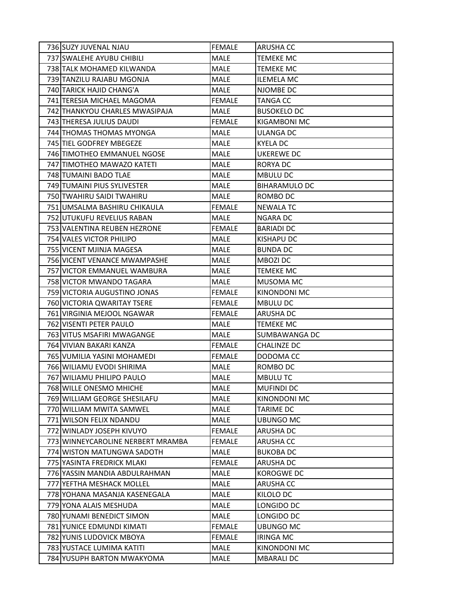| 736 SUZY JUVENAL NJAU             | <b>FEMALE</b> | <b>ARUSHA CC</b>     |
|-----------------------------------|---------------|----------------------|
| 737 SWALEHE AYUBU CHIBILI         | <b>MALE</b>   | <b>TEMEKE MC</b>     |
| 738 TALK MOHAMED KILWANDA         | MALE          | <b>TEMEKE MC</b>     |
| 739 TANZILU RAJABU MGONJA         | <b>MALE</b>   | <b>ILEMELA MC</b>    |
| 740 TARICK HAJID CHANG'A          | <b>MALE</b>   | NJOMBE DC            |
| 741 TERESIA MICHAEL MAGOMA        | <b>FEMALE</b> | <b>TANGA CC</b>      |
| 742 THANKYOU CHARLES MWASIPAJA    | MALE          | <b>BUSOKELO DC</b>   |
| 743 THERESA JULIUS DAUDI          | <b>FEMALE</b> | KIGAMBONI MC         |
| 744 THOMAS THOMAS MYONGA          | <b>MALE</b>   | <b>ULANGA DC</b>     |
| 745 TIEL GODFREY MBEGEZE          | MALE          | KYELA DC             |
| 746 TIMOTHEO EMMANUEL NGOSE       | <b>MALE</b>   | <b>UKEREWE DC</b>    |
| 747 TIMOTHEO MAWAZO KATETI        | <b>MALE</b>   | RORYA DC             |
| 748 TUMAINI BADO TLAE             | <b>MALE</b>   | <b>MBULU DC</b>      |
| 749 TUMAINI PIUS SYLIVESTER       | <b>MALE</b>   | <b>BIHARAMULO DC</b> |
| 750 TWAHIRU SAIDI TWAHIRU         | <b>MALE</b>   | ROMBO DC             |
| 751 UMSALMA BASHIRU CHIKAULA      | <b>FEMALE</b> | <b>NEWALA TC</b>     |
| 752 UTUKUFU REVELIUS RABAN        | <b>MALE</b>   | <b>NGARA DC</b>      |
| 753 VALENTINA REUBEN HEZRONE      | <b>FEMALE</b> | <b>BARIADI DC</b>    |
| 754 VALES VICTOR PHILIPO          | <b>MALE</b>   | <b>KISHAPU DC</b>    |
| 755 VICENT MJINJA MAGESA          | MALE          | <b>BUNDA DC</b>      |
| 756 VICENT VENANCE MWAMPASHE      | MALE          | MBOZI DC             |
| 757 VICTOR EMMANUEL WAMBURA       | MALE          | <b>TEMEKE MC</b>     |
| 758 VICTOR MWANDO TAGARA          | MALE          | MUSOMA MC            |
| 759 VICTORIA AUGUSTINO JONAS      | <b>FEMALE</b> | KINONDONI MC         |
| 760 VICTORIA QWARITAY TSERE       | <b>FEMALE</b> | <b>MBULU DC</b>      |
| 761 VIRGINIA MEJOOL NGAWAR        | <b>FEMALE</b> | <b>ARUSHA DC</b>     |
| 762 VISENTI PETER PAULO           | <b>MALE</b>   | <b>TEMEKE MC</b>     |
| 763 VITUS MSAFIRI MWAGANGE        | MALE          | SUMBAWANGA DC        |
| 764 VIVIAN BAKARI KANZA           | <b>FEMALE</b> | <b>CHALINZE DC</b>   |
| 765 VUMILIA YASINI MOHAMEDI       | <b>FEMALE</b> | DODOMA CC            |
| 766 WILIAMU EVODI SHIRIMA         | <b>MALE</b>   | ROMBO DC             |
| 767 WILIAMU PHILIPO PAULO         | <b>MALE</b>   | <b>MBULUTC</b>       |
| 768 WILLE ONESMO MHICHE           | MALE          | <b>MUFINDI DC</b>    |
| 769 WILLIAM GEORGE SHESILAFU      | <b>MALE</b>   | KINONDONI MC         |
| 770 WILLIAM MWITA SAMWEL          | <b>MALE</b>   | <b>TARIME DC</b>     |
| 771 WILSON FELIX NDANDU           | MALE          | <b>UBUNGO MC</b>     |
| 772 WINLADY JOSEPH KIVUYO         | <b>FEMALE</b> | ARUSHA DC            |
| 773 WINNEYCAROLINE NERBERT MRAMBA | <b>FEMALE</b> | ARUSHA CC            |
| 774 WISTON MATUNGWA SADOTH        | MALE          | <b>BUKOBA DC</b>     |
| 775 YASINTA FREDRICK MLAKI        | <b>FEMALE</b> | ARUSHA DC            |
| 776 YASSIN MANDIA ABDULRAHMAN     | MALE          | KOROGWE DC           |
| 777 YEFTHA MESHACK MOLLEL         | MALE          | <b>ARUSHA CC</b>     |
| 778 YOHANA MASANJA KASENEGALA     | MALE          | KILOLO DC            |
| 779 YONA ALAIS MESHUDA            | MALE          | LONGIDO DC           |
| 780 YUNAMI BENEDICT SIMON         | MALE          | LONGIDO DC           |
| 781 YUNICE EDMUNDI KIMATI         | <b>FEMALE</b> | <b>UBUNGO MC</b>     |
| 782 YUNIS LUDOVICK MBOYA          | <b>FEMALE</b> | <b>IRINGA MC</b>     |
| 783 YUSTACE LUMIMA KATITI         | MALE          | KINONDONI MC         |
| 784 YUSUPH BARTON MWAKYOMA        | MALE          | <b>MBARALI DC</b>    |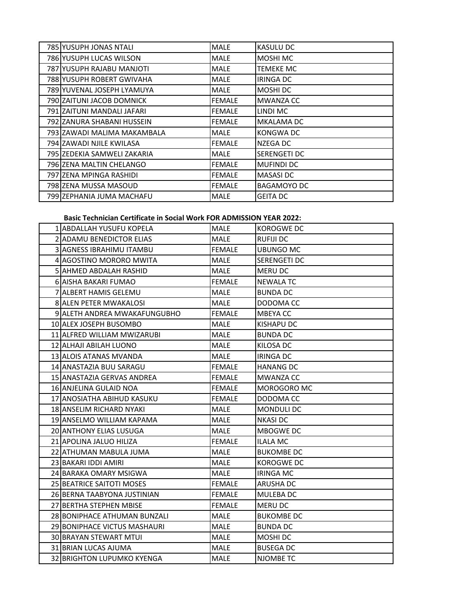| 785 YUSUPH JONAS NTALI       | <b>MALE</b>   | <b>KASULU DC</b>    |
|------------------------------|---------------|---------------------|
| 786 YUSUPH LUCAS WILSON      | <b>MALE</b>   | <b>MOSHI MC</b>     |
| 787 YUSUPH RAJABU MANJOTI    | <b>MALE</b>   | <b>TEMEKE MC</b>    |
| 788 YUSUPH ROBERT GWIVAHA    | <b>MALE</b>   | IRINGA DC           |
| 789 YUVENAL JOSEPH LYAMUYA   | <b>MALE</b>   | MOSHI DC            |
| 790 ZAITUNI JACOB DOMNICK    | <b>FEMALE</b> | <b>MWANZA CC</b>    |
| 791 ZAITUNI MANDALI JAFARI   | <b>FEMALE</b> | LINDI MC            |
| 792 IZANURA SHABANI HUSSEIN  | <b>FEMALE</b> | <b>MKALAMA DC</b>   |
| 793 IZAWADI MALIMA MAKAMBALA | MALE          | <b>KONGWA DC</b>    |
| 794 IZAWADI NJILE KWILASA    | <b>FEMALE</b> | NZEGA DC            |
| 795 IZEDEKIA SAMWELI ZAKARIA | <b>MALE</b>   | <b>SERENGETI DC</b> |
| 796 ZENA MALTIN CHELANGO     | <b>FEMALE</b> | <b>MUFINDI DC</b>   |
| 797 IZENA MPINGA RASHIDI     | <b>FEMALE</b> | MASASI DC           |
| 798 ZENA MUSSA MASOUD        | <b>FEMALE</b> | <b>BAGAMOYO DC</b>  |
| 799 ZEPHANIA JUMA MACHAFU    | <b>MALE</b>   | <b>GEITA DC</b>     |

## **Basic Technician Certificate in Social Work FOR ADMISSION YEAR 2022:**

| 1 ABDALLAH YUSUFU KOPELA        | <b>MALE</b>   | KOROGWE DC        |
|---------------------------------|---------------|-------------------|
| 2 ADAMU BENEDICTOR ELIAS        | <b>MALE</b>   | <b>RUFIJI DC</b>  |
| <b>3IAGNESS IBRAHIMU ITAMBU</b> | <b>FEMALE</b> | <b>UBUNGO MC</b>  |
| 4 AGOSTINO MORORO MWITA         | <b>MALE</b>   | SERENGETI DC      |
| <b>5 JAHMED ABDALAH RASHID</b>  | <b>MALE</b>   | <b>MERU DC</b>    |
| 6 AISHA BAKARI FUMAO            | <b>FEMALE</b> | <b>NEWALA TC</b>  |
| 7 ALBERT HAMIS GELEMU           | <b>MALE</b>   | <b>BUNDA DC</b>   |
| 8 ALEN PETER MWAKALOSI          | MALE          | DODOMA CC         |
| 9 ALETH ANDREA MWAKAFUNGUBHO    | <b>FEMALE</b> | MBEYA CC          |
| 10 ALEX JOSEPH BUSOMBO          | <b>MALE</b>   | <b>KISHAPU DC</b> |
| 11 ALFRED WILLIAM MWIZARUBI     | <b>MALE</b>   | <b>BUNDA DC</b>   |
| 12 ALHAJI ABILAH LUONO          | <b>MALE</b>   | KILOSA DC         |
| 13 ALOIS ATANAS MVANDA          | <b>MALE</b>   | <b>IRINGA DC</b>  |
| 14 ANASTAZIA BUU SARAGU         | <b>FEMALE</b> | <b>HANANG DC</b>  |
| 15 ANASTAZIA GERVAS ANDREA      | <b>FEMALE</b> | <b>MWANZA CC</b>  |
| 16 ANJELINA GULAID NOA          | <b>FEMALE</b> | MOROGORO MC       |
| 17 ANOSIATHA ABIHUD KASUKU      | <b>FEMALE</b> | DODOMA CC         |
| 18 ANSELIM RICHARD NYAKI        | MALE          | <b>MONDULI DC</b> |
| 19 ANSELMO WILLIAM KAPAMA       | <b>MALE</b>   | <b>NKASI DC</b>   |
| 20 ANTHONY ELIAS LUSUGA         | MALE          | MBOGWE DC         |
| 21 APOLINA JALUO HILIZA         | <b>FEMALE</b> | ILALA MC          |
| 22 ATHUMAN MABULA JUMA          | <b>MALE</b>   | <b>BUKOMBE DC</b> |
| 23 BAKARI IDDI AMIRI            | <b>MALE</b>   | KOROGWE DC        |
| 24 BARAKA OMARY MSIGWA          | <b>MALE</b>   | <b>IRINGA MC</b>  |
| 25 BEATRICE SAITOTI MOSES       | <b>FEMALE</b> | <b>ARUSHA DC</b>  |
| 26 BERNA TAABYONA JUSTINIAN     | <b>FEMALE</b> | MULEBA DC         |
| 27 BERTHA STEPHEN MBISE         | <b>FEMALE</b> | <b>MERU DC</b>    |
| 28 BONIPHACE ATHUMAN BUNZALI    | <b>MALE</b>   | <b>BUKOMBE DC</b> |
| 29 BONIPHACE VICTUS MASHAURI    | <b>MALE</b>   | <b>BUNDA DC</b>   |
| <b>30 BRAYAN STEWART MTUL</b>   | <b>MALE</b>   | MOSHI DC          |
| 31 BRIAN LUCAS AJUMA            | <b>MALE</b>   | <b>BUSEGA DC</b>  |
| 32 BRIGHTON LUPUMKO KYENGA      | <b>MALE</b>   | NJOMBE TC         |
|                                 |               |                   |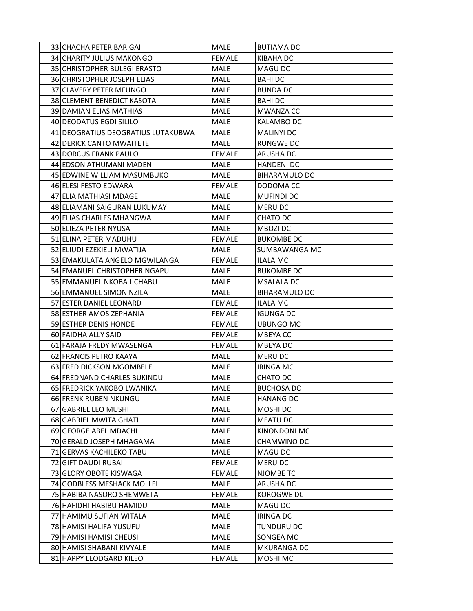| 33 CHACHA PETER BARIGAI            | MALE          | <b>BUTIAMA DC</b>    |
|------------------------------------|---------------|----------------------|
| 34 CHARITY JULIUS MAKONGO          | <b>FEMALE</b> | KIBAHA DC            |
| 35 CHRISTOPHER BULEGI ERASTO       | MALE          | MAGU DC              |
| 36 CHRISTOPHER JOSEPH ELIAS        | <b>MALE</b>   | <b>BAHIDC</b>        |
| 37 CLAVERY PETER MFUNGO            | <b>MALE</b>   | <b>BUNDA DC</b>      |
| 38 CLEMENT BENEDICT KASOTA         | <b>MALE</b>   | <b>BAHIDC</b>        |
| 39 DAMIAN ELIAS MATHIAS            | <b>MALE</b>   | <b>MWANZA CC</b>     |
| 40 DEODATUS EGDI SILILO            | MALE          | <b>KALAMBO DC</b>    |
| 41 DEOGRATIUS DEOGRATIUS LUTAKUBWA | <b>MALE</b>   | <b>MALINYI DC</b>    |
| 42 DERICK CANTO MWAITETE           | MALE          | RUNGWE DC            |
| 43 DORCUS FRANK PAULO              | <b>FEMALE</b> | ARUSHA DC            |
| 44 EDSON ATHUMANI MADENI           | <b>MALE</b>   | <b>HANDENI DC</b>    |
| 45 EDWINE WILLIAM MASUMBUKO        | MALE          | <b>BIHARAMULO DC</b> |
| 46 ELESI FESTO EDWARA              | <b>FEMALE</b> | DODOMA CC            |
| 47 ELIA MATHIASI MDAGE             | MALE          | <b>MUFINDI DC</b>    |
| 48 ELIAMANI SAIGURAN LUKUMAY       | <b>MALE</b>   | <b>MERU DC</b>       |
| 49 ELIAS CHARLES MHANGWA           | <b>MALE</b>   | CHATO DC             |
| <b>50 ELIEZA PETER NYUSA</b>       | <b>MALE</b>   | <b>MBOZI DC</b>      |
| 51 ELINA PETER MADUHU              | <b>FEMALE</b> | <b>BUKOMBE DC</b>    |
| 52 ELIUDI EZEKIELI MWATIJA         | MALE          | SUMBAWANGA MC        |
| 53 EMAKULATA ANGELO MGWILANGA      | <b>FEMALE</b> | <b>ILALA MC</b>      |
| 54 EMANUEL CHRISTOPHER NGAPU       | MALE          | <b>BUKOMBE DC</b>    |
| 55 EMMANUEL NKOBA JICHABU          | MALE          | <b>MSALALA DC</b>    |
| 56 EMMANUEL SIMON NZILA            | MALE          | <b>BIHARAMULO DC</b> |
| 57 ESTER DANIEL LEONARD            | <b>FEMALE</b> | ILALA MC             |
| 58 ESTHER AMOS ZEPHANIA            | <b>FEMALE</b> | <b>IGUNGA DC</b>     |
| 59 ESTHER DENIS HONDE              | <b>FEMALE</b> | UBUNGO MC            |
| 60 FAIDHA ALLY SAID                | <b>FEMALE</b> | <b>MBEYACC</b>       |
| 61 FARAJA FREDY MWASENGA           | <b>FEMALE</b> | <b>MBEYADC</b>       |
| 62 FRANCIS PETRO KAAYA             | MALE          | MERU DC              |
| 63 FRED DICKSON MGOMBELE           | MALE          | <b>IRINGA MC</b>     |
| 64 FREDNAND CHARLES BUKINDU        | <b>MALE</b>   | CHATO DC             |
| 65 FREDRICK YAKOBO LWANIKA         | MALE          | <b>BUCHOSA DC</b>    |
| 66 FRENK RUBEN NKUNGU              | MALE          | <b>HANANG DC</b>     |
| 67 GABRIEL LEO MUSHI               | <b>MALE</b>   | <b>MOSHIDC</b>       |
| 68 GABRIEL MWITA GHATI             | MALE          | <b>MEATU DC</b>      |
| 69 GEORGE ABEL MDACHI              | MALE          | <b>KINONDONI MC</b>  |
| 70 GERALD JOSEPH MHAGAMA           | MALE          | CHAMWINO DC          |
| 71 GERVAS KACHILEKO TABU           | MALE          | <b>MAGU DC</b>       |
| 72 GIFT DAUDI RUBAI                | <b>FEMALE</b> | <b>MERU DC</b>       |
| 73 GLORY OBOTE KISWAGA             | <b>FEMALE</b> | NJOMBE TC            |
| 74 GODBLESS MESHACK MOLLEL         | MALE          | <b>ARUSHA DC</b>     |
| 75 HABIBA NASORO SHEMWETA          | <b>FEMALE</b> | KOROGWE DC           |
| 76 HAFIDHI HABIBU HAMIDU           | MALE          | <b>MAGU DC</b>       |
| 77 HAMIMU SUFIAN WITALA            | MALE          | <b>IRINGA DC</b>     |
| 78 HAMISI HALIFA YUSUFU            | MALE          | <b>TUNDURU DC</b>    |
| 79 HAMISI HAMISI CHEUSI            | MALE          | SONGEA MC            |
| 80 HAMISI SHABANI KIVYALE          | MALE          | <b>MKURANGA DC</b>   |
| 81 HAPPY LEODGARD KILEO            | <b>FEMALE</b> | MOSHI MC             |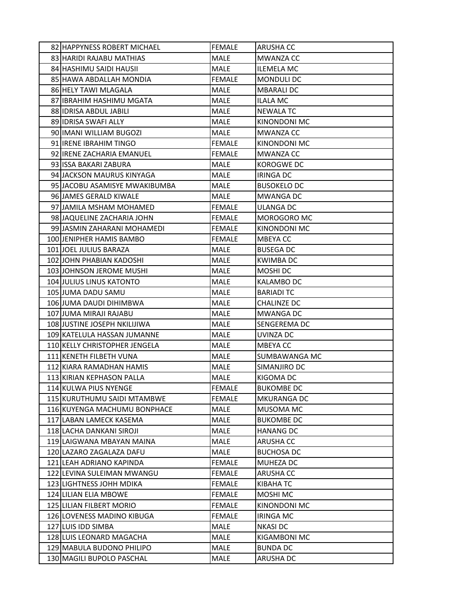| 82 HAPPYNESS ROBERT MICHAEL   | <b>FEMALE</b> | <b>ARUSHA CC</b>    |
|-------------------------------|---------------|---------------------|
| 83 HARIDI RAJABU MATHIAS      | <b>MALE</b>   | <b>MWANZA CC</b>    |
| 84 HASHIMU SAIDI HAUSII       | MALE          | <b>ILEMELA MC</b>   |
| 85 HAWA ABDALLAH MONDIA       | <b>FEMALE</b> | MONDULI DC          |
| 86 HELY TAWI MLAGALA          | MALE          | <b>MBARALI DC</b>   |
| 87 IBRAHIM HASHIMU MGATA      | <b>MALE</b>   | <b>ILALA MC</b>     |
| 88 IDRISA ABDUL JABILI        | <b>MALE</b>   | <b>NEWALA TC</b>    |
| 89 IDRISA SWAFI ALLY          | MALE          | <b>KINONDONI MC</b> |
| 90 IMANI WILLIAM BUGOZI       | <b>MALE</b>   | <b>MWANZA CC</b>    |
| 91 IRENE IBRAHIM TINGO        | <b>FEMALE</b> | KINONDONI MC        |
| 92 IRENE ZACHARIA EMANUEL     | <b>FEMALE</b> | MWANZA CC           |
| 93 ISSA BAKARI ZABURA         | MALE          | KOROGWE DC          |
| 94 JACKSON MAURUS KINYAGA     | MALE          | <b>IRINGA DC</b>    |
| 95 JACOBU ASAMISYE MWAKIBUMBA | <b>MALE</b>   | <b>BUSOKELO DC</b>  |
| 96 JAMES GERALD KIWALE        | MALE          | MWANGA DC           |
| 97 JAMILA MSHAM MOHAMED       | <b>FEMALE</b> | <b>ULANGA DC</b>    |
| 98 JAQUELINE ZACHARIA JOHN    | FEMALE        | MOROGORO MC         |
| 99 JJASMIN ZAHARANI MOHAMEDI  | <b>FEMALE</b> | KINONDONI MC        |
| 100 JENIPHER HAMIS BAMBO      | <b>FEMALE</b> | <b>MBEYACC</b>      |
| 101 JOEL JULIUS BARAZA        | MALE          | <b>BUSEGA DC</b>    |
| 102 JOHN PHABIAN KADOSHI      | <b>MALE</b>   | <b>KWIMBA DC</b>    |
| 103 JOHNSON JEROME MUSHI      | MALE          | MOSHI DC            |
| 104 JULIUS LINUS KATONTO      | <b>MALE</b>   | <b>KALAMBO DC</b>   |
| 105 JUMA DADU SAMU            | MALE          | <b>BARIADI TC</b>   |
| 106 JUMA DAUDI DIHIMBWA       | MALE          | CHALINZE DC         |
| 107 JUMA MIRAJI RAJABU        | <b>MALE</b>   | <b>MWANGA DC</b>    |
| 108 JUSTINE JOSEPH NKILIJIWA  | <b>MALE</b>   | SENGEREMA DC        |
| 109 KATELULA HASSAN JUMANNE   | MALE          | UVINZA DC           |
| 110 KELLY CHRISTOPHER JENGELA | <b>MALE</b>   | <b>MBEYACC</b>      |
| 111 KENETH FILBETH VUNA       | <b>MALE</b>   | SUMBAWANGA MC       |
| 112 KIARA RAMADHAN HAMIS      | <b>MALE</b>   | SIMANJIRO DC        |
| 113 KIRIAN KEPHASON PALLA     | <b>MALE</b>   | KIGOMA DC           |
| 114 KULWA PIUS NYENGE         | <b>FEMALE</b> | <b>BUKOMBE DC</b>   |
| 115 KURUTHUMU SAIDI MTAMBWE   | <b>FEMALE</b> | MKURANGA DC         |
| 116 KUYENGA MACHUMU BONPHACE  | <b>MALE</b>   | MUSOMA MC           |
| 117 LABAN LAMECK KASEMA       | MALE          | <b>BUKOMBE DC</b>   |
| 118 LACHA DANKANI SIROJI      | <b>MALE</b>   | <b>HANANG DC</b>    |
| 119 LAIGWANA MBAYAN MAINA     | MALE          | ARUSHA CC           |
| 120 LAZARO ZAGALAZA DAFU      | MALE          | <b>BUCHOSA DC</b>   |
| 121 LEAH ADRIANO KAPINDA      | <b>FEMALE</b> | MUHEZA DC           |
| 122 LEVINA SULEIMAN MWANGU    | <b>FEMALE</b> | ARUSHA CC           |
| 123 LIGHTNESS JOHH MDIKA      | <b>FEMALE</b> | KIBAHA TC           |
| 124 LILIAN ELIA MBOWE         | <b>FEMALE</b> | MOSHI MC            |
| 125 LILIAN FILBERT MORIO      | <b>FEMALE</b> | KINONDONI MC        |
| 126 LOVENESS MADINO KIBUGA    | <b>FEMALE</b> | <b>IRINGA MC</b>    |
| 127 LUIS IDD SIMBA            | MALE          | <b>NKASI DC</b>     |
| 128 LUIS LEONARD MAGACHA      | <b>MALE</b>   | KIGAMBONI MC        |
| 129 MABULA BUDONO PHILIPO     | MALE          | <b>BUNDA DC</b>     |
| 130 MAGILI BUPOLO PASCHAL     | MALE          | ARUSHA DC           |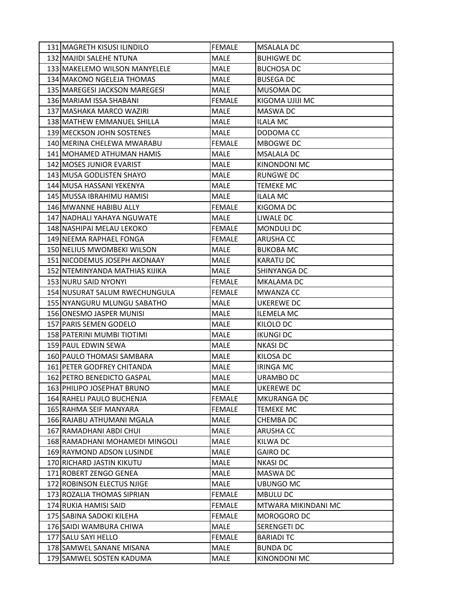| 131 MAGRETH KISUSI ILINDILO        | <b>FEMALE</b> | <b>MSALALA DC</b>   |
|------------------------------------|---------------|---------------------|
| 132 MAJIDI SALEHE NTUNA            | MALE          | <b>BUHIGWE DC</b>   |
| 133 MAKELEMO WILSON MANYELELE      | MALE          | <b>BUCHOSA DC</b>   |
| 134 MAKONO NGELEJA THOMAS          | <b>MALE</b>   | <b>BUSEGA DC</b>    |
| 135 MAREGESI JACKSON MAREGESI      | MALE          | MUSOMA DC           |
| 136 MARIAM ISSA SHABANI            | <b>FEMALE</b> | KIGOMA UJIJI MC     |
| 137 MASHAKA MARCO WAZIRI           | <b>MALE</b>   | <b>MASWA DC</b>     |
| 138 MATHEW EMMANUEL SHILLA         | MALE          | ILALA MC            |
| 139 MECKSON JOHN SOSTENES          | <b>MALE</b>   | DODOMA CC           |
| 140 MERINA CHELEWA MWARABU         | <b>FEMALE</b> | MBOGWE DC           |
| 141 MOHAMED ATHUMAN HAMIS          | <b>MALE</b>   | <b>MSALALA DC</b>   |
| 142 MOSES JUNIOR EVARIST           | <b>MALE</b>   | <b>KINONDONI MC</b> |
| 143 MUSA GODLISTEN SHAYO           | <b>MALE</b>   | RUNGWE DC           |
| 144 MUSA HASSANI YEKENYA           | <b>MALE</b>   | <b>TEMEKE MC</b>    |
| 145 MUSSA IBRAHIMU HAMISI          | MALE          | <b>ILALA MC</b>     |
| 146 MWANNE HABIBU ALLY             | <b>FEMALE</b> | KIGOMA DC           |
| 147 NADHALI YAHAYA NGUWATE         | MALE          | LIWALE DC           |
| 148 NASHIPAI MELAU LEKOKO          | <b>FEMALE</b> | MONDULI DC          |
| 149 NEEMA RAPHAEL FONGA            | <b>FEMALE</b> | <b>ARUSHA CC</b>    |
| <b>150 INELIUS MWOMBEKI WILSON</b> | MALE          | <b>BUKOBA MC</b>    |
| 151 NICODEMUS JOSEPH AKONAAY       | MALE          | <b>KARATU DC</b>    |
| 152 NTEMINYANDA MATHIAS KIJIKA     | MALE          | SHINYANGA DC        |
| 153 NURU SAID NYONYI               | <b>FEMALE</b> | MKALAMA DC          |
| 154 NUSURAT SALUM RWECHUNGULA      | <b>FEMALE</b> | <b>MWANZA CC</b>    |
| 155 NYANGURU MLUNGU SABATHO        | MALE          | UKEREWE DC          |
| 156 ONESMO JASPER MUNISI           | MALE          | <b>ILEMELA MC</b>   |
| 157 PARIS SEMEN GODELO             | <b>MALE</b>   | KILOLO DC           |
| 158 PATERINI MUMBI TIOTIMI         | MALE          | <b>IKUNGI DC</b>    |
| 159 PAUL EDWIN SEWA                | <b>MALE</b>   | <b>NKASI DC</b>     |
| 160 PAULO THOMASI SAMBARA          | MALE          | KILOSA DC           |
| 161 PETER GODFREY CHITANDA         | <b>MALE</b>   | <b>IRINGA MC</b>    |
| 162 PETRO BENEDICTO GASPAL         | <b>MALE</b>   | URAMBO DC           |
| 163 PHILIPO JOSEPHAT BRUNO         | MALE          | <b>UKEREWE DC</b>   |
| 164 RAHELI PAULO BUCHENJA          | <b>FEMALE</b> | <b>MKURANGA DC</b>  |
| 165 RAHMA SEIF MANYARA             | <b>FEMALE</b> | <b>TEMEKE MC</b>    |
| 166 RAJABU ATHUMANI MGALA          | MALE          | <b>CHEMBA DC</b>    |
| 167 RAMADHANI ABDI CHUI            | MALE          | <b>ARUSHA CC</b>    |
| 168 RAMADHANI MOHAMEDI MINGOLI     | MALE          | KILWA DC            |
| 169 RAYMOND ADSON LUSINDE          | MALE          | <b>GAIRO DC</b>     |
| 170 RICHARD JASTIN KIKUTU          | MALE          | <b>NKASI DC</b>     |
| 171 ROBERT ZENGO GENEA             | MALE          | MASWA DC            |
| 172 ROBINSON ELECTUS NJIGE         | MALE          | <b>UBUNGO MC</b>    |
| 173 ROZALIA THOMAS SIPRIAN         | <b>FEMALE</b> | <b>MBULU DC</b>     |
| 174 RUKIA HAMISI SAID              | <b>FEMALE</b> | MTWARA MIKINDANI MC |
| 175 SABINA SADOKI KILEHA           | <b>FEMALE</b> | MOROGORO DC         |
| 176 SAIDI WAMBURA CHIWA            | MALE          | SERENGETI DC        |
| 177 SALU SAYI HELLO                | <b>FEMALE</b> | <b>BARIADI TC</b>   |
| 178 SAMWEL SANANE MISANA           | MALE          | <b>BUNDA DC</b>     |
| 179 SAMWEL SOSTEN KADUMA           | MALE          | KINONDONI MC        |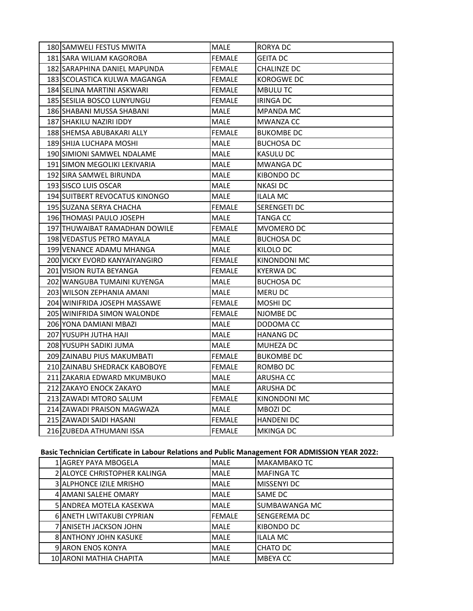| 180 SAMWELI FESTUS MWITA       | MALE          | RORYA DC            |
|--------------------------------|---------------|---------------------|
| 181 SARA WILIAM KAGOROBA       | <b>FEMALE</b> | GEITA DC            |
| 182 SARAPHINA DANIEL MAPUNDA   | FEMALE        | CHALINZE DC         |
| 183 SCOLASTICA KULWA MAGANGA   | FEMALE        | KOROGWE DC          |
| 184 SELINA MARTINI ASKWARI     | FEMALE        | <b>MBULU TC</b>     |
| 185 SESILIA BOSCO LUNYUNGU     | FEMALE        | IRINGA DC           |
| 186 SHABANI MUSSA SHABANI      | MALE          | MPANDA MC           |
| 187 SHAKILU NAZIRI IDDY        | MALE          | MWANZA CC           |
| 188 SHEMSA ABUBAKARI ALLY      | FEMALE        | <b>BUKOMBE DC</b>   |
| 189 SHIJA LUCHAPA MOSHI        | MALE          | <b>BUCHOSA DC</b>   |
| 190 SIMIONI SAMWEL NDALAME     | MALE          | KASULU DC           |
| 191 SIMON MEGOLIKI LEKIVARIA   | MALE          | MWANGA DC           |
| 192 SIRA SAMWEL BIRUNDA        | MALE          | KIBONDO DC          |
| 193 SISCO LUIS OSCAR           | MALE          | <b>NKASI DC</b>     |
| 194 SUITBERT REVOCATUS KINONGO | MALE          | ILALA MC            |
| 195 SUZANA SERYA CHACHA        | FEMALE        | SERENGETI DC        |
| 196 THOMASI PAULO JOSEPH       | MALE          | TANGA CC            |
| 197 THUWAIBAT RAMADHAN DOWILE  | FEMALE        | MVOMERO DC          |
| 198 VEDASTUS PETRO MAYALA      | MALE          | <b>BUCHOSA DC</b>   |
| 199 VENANCE ADAMU MHANGA       | MALE          | KILOLO DC           |
| 200 VICKY EVORD KANYAIYANGIRO  | <b>FEMALE</b> | KINONDONI MC        |
| 201 VISION RUTA BEYANGA        | <b>FEMALE</b> | <b>KYERWA DC</b>    |
| 202 WANGUBA TUMAINI KUYENGA    | MALE          | <b>BUCHOSA DC</b>   |
| 203 WILSON ZEPHANIA AMANI      | MALE          | MERU DC             |
| 204 WINIFRIDA JOSEPH MASSAWE   | <b>FEMALE</b> | MOSHI DC            |
| 205 WINIFRIDA SIMON WALONDE    | <b>FEMALE</b> | NJOMBE DC           |
| 206 YONA DAMIANI MBAZI         | MALE          | DODOMA CC           |
| 207 YUSUPH JUTHA HAJI          | MALE          | <b>HANANG DC</b>    |
| 208 YUSUPH SADIKI JUMA         | <b>MALE</b>   | MUHEZA DC           |
| 209 ZAINABU PIUS MAKUMBATI     | FEMALE        | <b>BUKOMBE DC</b>   |
| 210 ZAINABU SHEDRACK KABOBOYE  | <b>FEMALE</b> | ROMBO DC            |
| 211 ZAKARIA EDWARD MKUMBUKO    | <b>MALE</b>   | <b>ARUSHA CC</b>    |
| 212 ZAKAYO ENOCK ZAKAYO        | <b>MALE</b>   | ARUSHA DC           |
| 213 ZAWADI MTORO SALUM         | <b>FEMALE</b> | <b>KINONDONI MC</b> |
| 214 ZAWADI PRAISON MAGWAZA     | MALE          | <b>MBOZIDC</b>      |
| 215 ZAWADI SAIDI HASANI        | <b>FEMALE</b> | <b>HANDENI DC</b>   |
| 216 ZUBEDA ATHUMANI ISSA       | <b>FEMALE</b> | <b>MKINGA DC</b>    |
|                                |               |                     |

## **Basic Technician Certificate in Labour Relations and Public Management FOR ADMISSION YEAR 2022:**

| 1 AGREY PAYA MBOGELA              | <b>MALE</b>   | MAKAMBAKO TC        |
|-----------------------------------|---------------|---------------------|
| 2 ALOYCE CHRISTOPHER KALINGA      | <b>MALE</b>   | <b>MAFINGA TC</b>   |
| <b>3 JALPHONCE IZILE MRISHO</b>   | <b>MALE</b>   | <b>MISSENYI DC</b>  |
| 4 AMANI SALEHE OMARY              | <b>MALE</b>   | SAME DC             |
| <b>5 JANDREA MOTELA KASEKWA</b>   | <b>MALE</b>   | SUMBAWANGA MC       |
| <b>6 JANETH LWITAKUBI CYPRIAN</b> | <b>FEMALE</b> | <b>SENGEREMA DC</b> |
| 7 JANISETH JACKSON JOHN           | <b>MALE</b>   | KIBONDO DC          |
| <b>8IANTHONY JOHN KASUKE</b>      | <b>MALE</b>   | <b>ILALA MC</b>     |
| <b>9 JARON ENOS KONYA</b>         | <b>MALE</b>   | CHATO DC            |
| 10 ARONI MATHIA CHAPITA           | <b>MALE</b>   | MBEYA CC            |
|                                   |               |                     |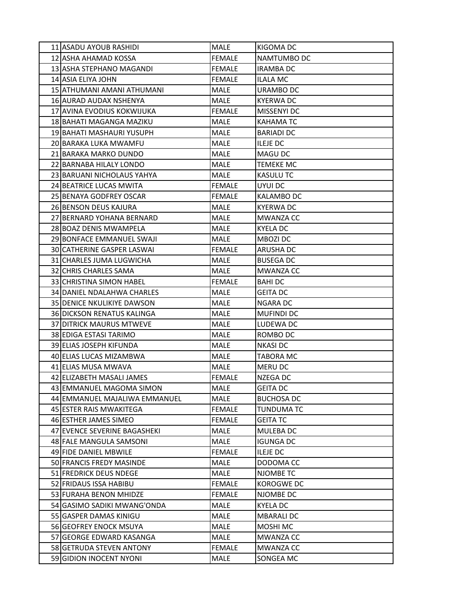| 11 ASADU AYOUB RASHIDI            | <b>MALE</b>   | KIGOMA DC         |
|-----------------------------------|---------------|-------------------|
| 12 ASHA AHAMAD KOSSA              | <b>FEMALE</b> | NAMTUMBO DC       |
| 13 ASHA STEPHANO MAGANDI          | <b>FEMALE</b> | <b>IRAMBA DC</b>  |
| 14 ASIA ELIYA JOHN                | <b>FEMALE</b> | <b>ILALA MC</b>   |
| 15 ATHUMANI AMANI ATHUMANI        | MALE          | URAMBO DC         |
| 16 AURAD AUDAX NSHENYA            | MALE          | <b>KYERWA DC</b>  |
| 17 AVINA EVODIUS KOKWIJUKA        | <b>FEMALE</b> | MISSENYI DC       |
| 18 BAHATI MAGANGA MAZIKU          | MALE          | KAHAMA TC         |
| 19 BAHATI MASHAURI YUSUPH         | <b>MALE</b>   | <b>BARIADI DC</b> |
| 20 BARAKA LUKA MWAMFU             | MALE          | <b>ILEJE DC</b>   |
| 21 BARAKA MARKO DUNDO             | MALE          | <b>MAGU DC</b>    |
| 22 BARNABA HILALY LONDO           | MALE          | <b>TEMEKE MC</b>  |
| 23 BARUANI NICHOLAUS YAHYA        | MALE          | KASULU TC         |
| 24 BEATRICE LUCAS MWITA           | <b>FEMALE</b> | UYUI DC           |
| 25 BENAYA GODFREY OSCAR           | <b>FEMALE</b> | KALAMBO DC        |
| 26 BENSON DEUS KAJURA             | MALE          | <b>KYERWA DC</b>  |
| 27 BERNARD YOHANA BERNARD         | MALE          | <b>MWANZA CC</b>  |
| 28 BOAZ DENIS MWAMPELA            | MALE          | KYELA DC          |
| 29 BONFACE EMMANUEL SWAJI         | MALE          | <b>MBOZI DC</b>   |
| <b>30ICATHERINE GASPER LASWAI</b> | <b>FEMALE</b> | <b>ARUSHA DC</b>  |
| 31 CHARLES JUMA LUGWICHA          | MALE          | <b>BUSEGA DC</b>  |
| 32 CHRIS CHARLES SAMA             | MALE          | <b>MWANZA CC</b>  |
| 33 CHRISTINA SIMON HABEL          | <b>FEMALE</b> | <b>BAHIDC</b>     |
| 34 DANIEL NDALAHWA CHARLES        | MALE          | <b>GEITA DC</b>   |
| <b>35 DENICE NKULIKIYE DAWSON</b> | MALE          | NGARA DC          |
| 36 DICKSON RENATUS KALINGA        | MALE          | <b>MUFINDI DC</b> |
| <b>37 DITRICK MAURUS MTWEVE</b>   | <b>MALE</b>   | LUDEWA DC         |
| 38 EDIGA ESTASI TARIMO            | MALE          | ROMBO DC          |
| 39 ELIAS JOSEPH KIFUNDA           | MALE          | <b>NKASI DC</b>   |
| 40 ELIAS LUCAS MIZAMBWA           | MALE          | <b>TABORA MC</b>  |
| 41 ELIAS MUSA MWAVA               | MALE          | <b>MERU DC</b>    |
| 42 ELIZABETH MASALI JAMES         | <b>FEMALE</b> | NZEGA DC          |
| 43 EMMANUEL MAGOMA SIMON          | MALE          | <b>GEITA DC</b>   |
| 44 EMMANUEL MAJALIWA EMMANUEL     | MALE          | <b>BUCHOSA DC</b> |
| 45 ESTER RAIS MWAKITEGA           | <b>FEMALE</b> | <b>TUNDUMA TC</b> |
| 46 ESTHER JAMES SIMEO             | <b>FEMALE</b> | <b>GEITA TC</b>   |
| 47 EVENCE SEVERINE BAGASHEKI      | MALE          | MULEBA DC         |
| 48 FALE MANGULA SAMSONI           | MALE          | <b>IGUNGA DC</b>  |
| 49 FIDE DANIEL MBWILE             | <b>FEMALE</b> | <b>ILEJE DC</b>   |
| 50 FRANCIS FREDY MASINDE          | MALE          | DODOMA CC         |
| 51 FREDRICK DEUS NDEGE            | MALE          | NJOMBE TC         |
| 52 FRIDAUS ISSA HABIBU            | <b>FEMALE</b> | KOROGWE DC        |
| 53 FURAHA BENON MHIDZE            | <b>FEMALE</b> | NJOMBE DC         |
| 54 GASIMO SADIKI MWANG'ONDA       | MALE          | <b>KYELA DC</b>   |
| 55 GASPER DAMAS KINIGU            | MALE          | <b>MBARALI DC</b> |
| 56 GEOFREY ENOCK MSUYA            | MALE          | MOSHI MC          |
| 57 GEORGE EDWARD KASANGA          | MALE          | <b>MWANZA CC</b>  |
| 58 GETRUDA STEVEN ANTONY          | <b>FEMALE</b> | MWANZA CC         |
| 59 GIDION INOCENT NYONI           | MALE          | SONGEA MC         |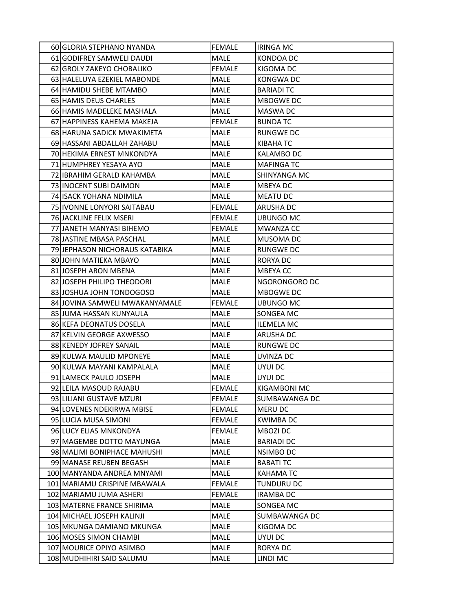| 60 GLORIA STEPHANO NYANDA      | <b>FEMALE</b> | <b>IRINGA MC</b>  |
|--------------------------------|---------------|-------------------|
| 61 GODIFREY SAMWELI DAUDI      | MALE          | KONDOA DC         |
| 62 GROLY ZAKEYO CHOBALIKO      | <b>FEMALE</b> | KIGOMA DC         |
| 63 HALELUYA EZEKIEL MABONDE    | MALE          | KONGWA DC         |
| 64 HAMIDU SHEBE MTAMBO         | MALE          | <b>BARIADI TC</b> |
| 65 HAMIS DEUS CHARLES          | MALE          | MBOGWE DC         |
| 66 HAMIS MADELEKE MASHALA      | MALE          | MASWA DC          |
| 67 HAPPINESS KAHEMA MAKEJA     | <b>FEMALE</b> | <b>BUNDA TC</b>   |
| 68 HARUNA SADICK MWAKIMETA     | MALE          | <b>RUNGWE DC</b>  |
| 69 HASSANI ABDALLAH ZAHABU     | MALE          | KIBAHA TC         |
| 70 HEKIMA ERNEST MNKONDYA      | MALE          | <b>KALAMBO DC</b> |
| 71 HUMPHREY YESAYA AYO         | <b>MALE</b>   | <b>MAFINGA TC</b> |
| 72 IBRAHIM GERALD KAHAMBA      | <b>MALE</b>   | SHINYANGA MC      |
| 73 INOCENT SUBI DAIMON         | MALE          | MBEYA DC          |
| 74 ISACK YOHANA NDIMILA        | MALE          | <b>MEATU DC</b>   |
| 75 IVONNE LONYORI SAITABAU     | <b>FEMALE</b> | ARUSHA DC         |
| 76 JACKLINE FELIX MSERI        | <b>FEMALE</b> | UBUNGO MC         |
| 77 JANETH MANYASI BIHEMO       | <b>FEMALE</b> | <b>MWANZA CC</b>  |
| 78 JASTINE MBASA PASCHAL       | <b>MALE</b>   | MUSOMA DC         |
| 79 JEPHASON NICHORAUS KATABIKA | MALE          | <b>RUNGWE DC</b>  |
| 80JJOHN MATIEKA MBAYO          | MALE          | RORYA DC          |
| 81 JOSEPH ARON MBENA           | MALE          | <b>MBEYACC</b>    |
| 82 JOSEPH PHILIPO THEODORI     | <b>MALE</b>   | NGORONGORO DC     |
| 83 JOSHUA JOHN TONDOGOSO       | MALE          | MBOGWE DC         |
| 84 JOVINA SAMWELI MWAKANYAMALE | <b>FEMALE</b> | UBUNGO MC         |
| 85 JUMA HASSAN KUNYAULA        | MALE          | SONGEA MC         |
| 86 KEFA DEONATUS DOSELA        | MALE          | <b>ILEMELA MC</b> |
| 87 KELVIN GEORGE AXWESSO       | MALE          | <b>ARUSHA DC</b>  |
| 88 KENEDY JOFREY SANAIL        | MALE          | <b>RUNGWE DC</b>  |
| 89 KULWA MAULID MPONEYE        | MALE          | UVINZA DC         |
| 90 KULWA MAYANI KAMPALALA      | MALE          | UYUI DC           |
| 91 LAMECK PAULO JOSEPH         | <b>MALE</b>   | UYUI DC           |
| 92 LEILA MASOUD RAJABU         | <b>FEMALE</b> | KIGAMBONI MC      |
| 93 LILIANI GUSTAVE MZURI       | <b>FEMALE</b> | SUMBAWANGA DC     |
| 94 LOVENES NDEKIRWA MBISE      | <b>FEMALE</b> | <b>MERU DC</b>    |
| 95 LUCIA MUSA SIMONI           | <b>FEMALE</b> | <b>KWIMBA DC</b>  |
| 96 LUCY ELIAS MNKONDYA         | <b>FEMALE</b> | MBOZI DC          |
| 97 MAGEMBE DOTTO MAYUNGA       | MALE          | <b>BARIADI DC</b> |
| 98 MALIMI BONIPHACE MAHUSHI    | MALE          | NSIMBO DC         |
| 99 MANASE REUBEN BEGASH        | MALE          | <b>BABATI TC</b>  |
| 100 MANYANDA ANDREA MNYAMI     | MALE          | KAHAMA TC         |
| 101 MARIAMU CRISPINE MBAWALA   | <b>FEMALE</b> | <b>TUNDURU DC</b> |
| 102 MARIAMU JUMA ASHERI        | <b>FEMALE</b> | <b>IRAMBA DC</b>  |
| 103 MATERNE FRANCE SHIRIMA     | <b>MALE</b>   | SONGEA MC         |
| 104 MICHAEL JOSEPH KALINJI     | MALE          | SUMBAWANGA DC     |
| 105 MKUNGA DAMIANO MKUNGA      | MALE          | KIGOMA DC         |
| 106 MOSES SIMON CHAMBI         | MALE          | UYUI DC           |
| 107 MOURICE OPIYO ASIMBO       | MALE          | RORYA DC          |
| 108 MUDHIHIRI SAID SALUMU      | MALE          | LINDI MC          |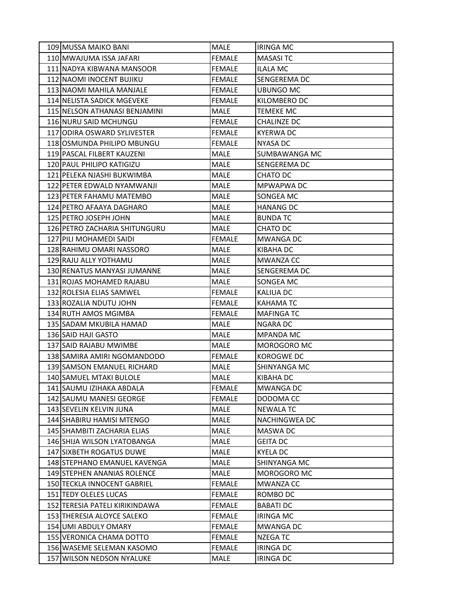| 109 MUSSA MAIKO BANI           | <b>MALE</b>   | <b>IRINGA MC</b>    |
|--------------------------------|---------------|---------------------|
| 110 MWAJUMA ISSA JAFARI        | <b>FEMALE</b> | <b>MASASITC</b>     |
| 111 NADYA KIBWANA MANSOOR      | <b>FEMALE</b> | <b>ILALA MC</b>     |
| 112 NAOMI INOCENT BUJIKU       | <b>FEMALE</b> | <b>SENGEREMA DC</b> |
| 113 NAOMI MAHILA MANJALE       | <b>FEMALE</b> | <b>UBUNGO MC</b>    |
| 114 NELISTA SADICK MGEVEKE     | <b>FEMALE</b> | KILOMBERO DC        |
| 115 NELSON ATHANASI BENJAMINI  | MALE          | <b>TEMEKE MC</b>    |
| 116 NURU SAID MCHUNGU          | <b>FEMALE</b> | CHALINZE DC         |
| 117 JODIRA OSWARD SYLIVESTER   | <b>FEMALE</b> | <b>KYERWA DC</b>    |
| 118 OSMUNDA PHILIPO MBUNGU     | <b>FEMALE</b> | <b>NYASA DC</b>     |
| 119 PASCAL FILBERT KAUZENI     | MALE          | SUMBAWANGA MC       |
| 120 PAUL PHILIPO KATIGIZU      | <b>MALE</b>   | SENGEREMA DC        |
| 121 PELEKA NJASHI BUKWIMBA     | <b>MALE</b>   | CHATO DC            |
| 122 PETER EDWALD NYAMWANJI     | <b>MALE</b>   | MPWAPWA DC          |
| 123 PETER FAHAMU MATEMBO       | MALE          | SONGEA MC           |
| 124 PETRO AFAAYA DAGHARO       | MALE          | <b>HANANG DC</b>    |
| 125 PETRO JOSEPH JOHN          | MALE          | <b>BUNDA TC</b>     |
| 126 PETRO ZACHARIA SHITUNGURU  | MALE          | CHATO DC            |
| 127 PILI MOHAMEDI SAIDI        | <b>FEMALE</b> | <b>MWANGA DC</b>    |
| 128 RAHIMU OMARI NASSORO       | MALE          | KIBAHA DC           |
| 129 RAJU ALLY YOTHAMU          | MALE          | MWANZA CC           |
| 130 RENATUS MANYASI JUMANNE    | MALE          | SENGEREMA DC        |
| 131 ROJAS MOHAMED RAJABU       | MALE          | SONGEA MC           |
| 132 ROLESIA ELIAS SAMWEL       | <b>FEMALE</b> | KALIUA DC           |
| 133 ROZALIA NDUTU JOHN         | <b>FEMALE</b> | <b>KAHAMA TC</b>    |
| 134 RUTH AMOS MGIMBA           | <b>FEMALE</b> | <b>MAFINGA TC</b>   |
| 135 SADAM MKUBILA HAMAD        | MALE          | NGARA DC            |
| 136 SAID HAJI GASTO            | MALE          | <b>MPANDA MC</b>    |
| 137 SAID RAJABU MWIMBE         | MALE          | MOROGORO MC         |
| 138 SAMIRA AMIRI NGOMANDODO    | <b>FEMALE</b> | <b>KOROGWE DC</b>   |
| 139 SAMSON EMANUEL RICHARD     | <b>MALE</b>   | SHINYANGA MC        |
| 140 SAMUEL MTAKI BULOLE        | <b>MALE</b>   | KIBAHA DC           |
| 141 SAUMU IZIHAKA ABDALA       | <b>FEMALE</b> | <b>MWANGA DC</b>    |
| 142 SAUMU MANESI GEORGE        | <b>FEMALE</b> | DODOMA CC           |
| 143 SEVELIN KELVIN JUNA        | MALE          | <b>NEWALA TC</b>    |
| 144 SHABIRU HAMISI MTENGO      | MALE          | NACHINGWEA DC       |
| 145 SHAMBITI ZACHARIA ELIAS    | MALE          | MASWA DC            |
| 146 SHIJA WILSON LYATOBANGA    | MALE          | <b>GEITA DC</b>     |
| 147 SIXBETH ROGATUS DUWE       | MALE          | <b>KYELA DC</b>     |
| 148 STEPHANO EMANUEL KAVENGA   | MALE          | SHINYANGA MC        |
| 149 STEPHEN ANANIAS ROLENCE    | MALE          | MOROGORO MC         |
| 150 TECKLA INNOCENT GABRIEL    | <b>FEMALE</b> | MWANZA CC           |
| 151 TEDY OLELES LUCAS          | <b>FEMALE</b> | ROMBO DC            |
| 152 TERESIA PATELI KIRIKINDAWA | <b>FEMALE</b> | <b>BABATI DC</b>    |
| 153 THERESIA ALOYCE SALEKO     | <b>FEMALE</b> | <b>IRINGA MC</b>    |
| 154 UMI ABDULY OMARY           | <b>FEMALE</b> | <b>MWANGA DC</b>    |
| 155 VERONICA CHAMA DOTTO       | <b>FEMALE</b> | <b>NZEGATC</b>      |
| 156 WASEME SELEMAN KASOMO      | <b>FEMALE</b> | <b>IRINGA DC</b>    |
| 157 WILSON NEDSON NYALUKE      | MALE          | <b>IRINGA DC</b>    |